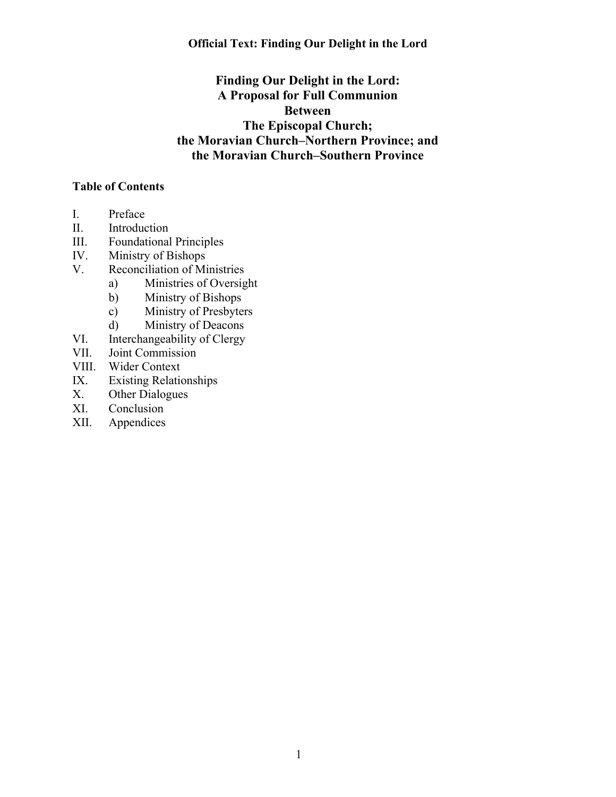## **Finding Our Delight in the Lord: A Proposal for Full Communion Between The Episcopal Church; the Moravian Church–Northern Province; and the Moravian Church–Southern Province**

## **Table of Contents**

- I. Preface
- II. Introduction
- III. Foundational Principles
- IV. Ministry of Bishops
- V. Reconciliation of Ministries
	- a) Ministries of Oversight
	- b) Ministry of Bishops
	- c) Ministry of Presbyters
	- d) Ministry of Deacons
- VI. Interchangeability of Clergy
- VII. Joint Commission<br>VIII. Wider Context
- Wider Context
- IX. Existing Relationships
- X. Other Dialogues
- XI. Conclusion
- XII. Appendices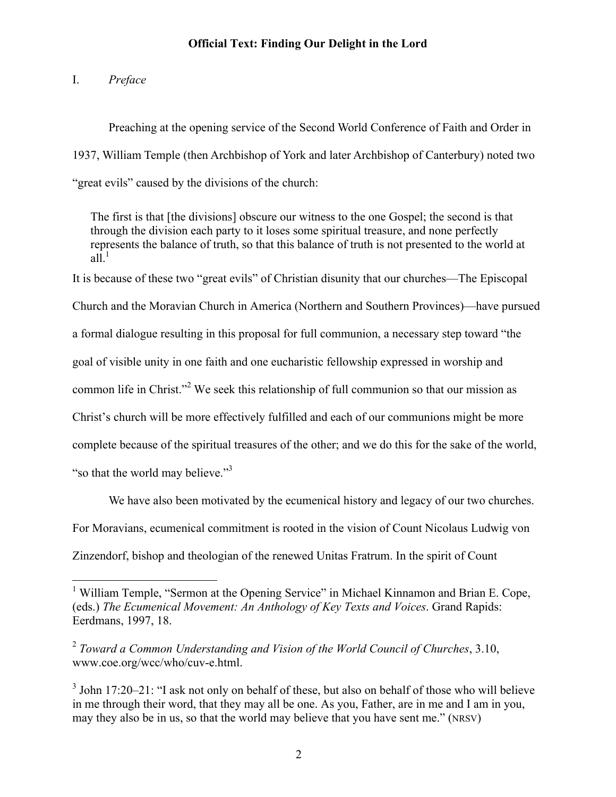## I. *Preface*

Preaching at the opening service of the Second World Conference of Faith and Order in 1937, William Temple (then Archbishop of York and later Archbishop of Canterbury) noted two "great evils" caused by the divisions of the church:

The first is that [the divisions] obscure our witness to the one Gospel; the second is that through the division each party to it loses some spiritual treasure, and none perfectly represents the balance of truth, so that this balance of truth is not presented to the world at  $aI^{\overline{1}1}$ 

It is because of these two "great evils" of Christian disunity that our churches—The Episcopal

Church and the Moravian Church in America (Northern and Southern Provinces)—have pursued

a formal dialogue resulting in this proposal for full communion, a necessary step toward "the

goal of visible unity in one faith and one eucharistic fellowship expressed in worship and

common life in Christ."<sup>2</sup> We seek this relationship of full communion so that our mission as

Christ's church will be more effectively fulfilled and each of our communions might be more

complete because of the spiritual treasures of the other; and we do this for the sake of the world,

"so that the world may believe."<sup>3</sup>

We have also been motivated by the ecumenical history and legacy of our two churches. For Moravians, ecumenical commitment is rooted in the vision of Count Nicolaus Ludwig von Zinzendorf, bishop and theologian of the renewed Unitas Fratrum. In the spirit of Count

<sup>&</sup>lt;sup>1</sup> William Temple, "Sermon at the Opening Service" in Michael Kinnamon and Brian E. Cope, (eds.) *The Ecumenical Movement: An Anthology of Key Texts and Voices*. Grand Rapids: Eerdmans, 1997, 18.

<sup>2</sup> *Toward a Common Understanding and Vision of the World Council of Churches*, 3.10, www.coe.org/wcc/who/cuv-e.html.

 $3$  John 17:20–21: "I ask not only on behalf of these, but also on behalf of those who will believe in me through their word, that they may all be one. As you, Father, are in me and I am in you, may they also be in us, so that the world may believe that you have sent me." (NRSV)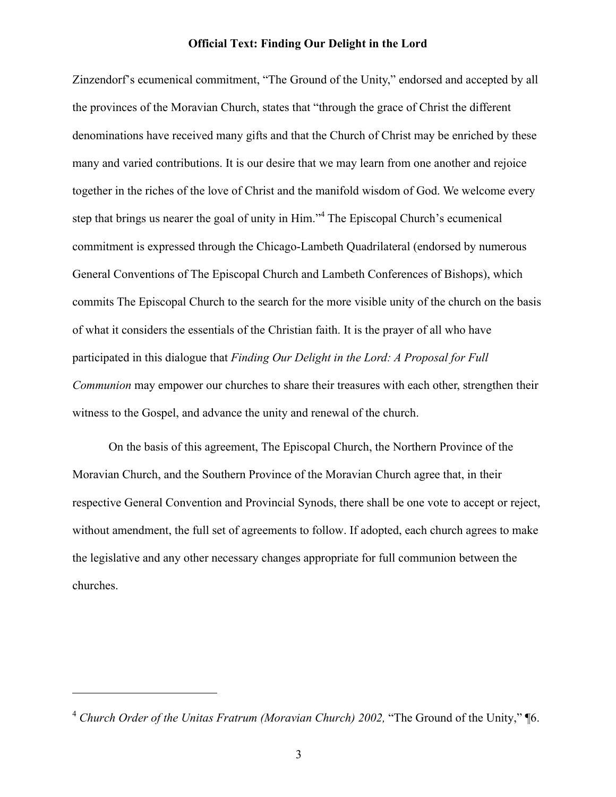Zinzendorf's ecumenical commitment, "The Ground of the Unity," endorsed and accepted by all the provinces of the Moravian Church, states that "through the grace of Christ the different denominations have received many gifts and that the Church of Christ may be enriched by these many and varied contributions. It is our desire that we may learn from one another and rejoice together in the riches of the love of Christ and the manifold wisdom of God. We welcome every step that brings us nearer the goal of unity in Him."<sup>4</sup> The Episcopal Church's ecumenical commitment is expressed through the Chicago-Lambeth Quadrilateral (endorsed by numerous General Conventions of The Episcopal Church and Lambeth Conferences of Bishops), which commits The Episcopal Church to the search for the more visible unity of the church on the basis of what it considers the essentials of the Christian faith. It is the prayer of all who have participated in this dialogue that *Finding Our Delight in the Lord: A Proposal for Full Communion* may empower our churches to share their treasures with each other, strengthen their witness to the Gospel, and advance the unity and renewal of the church.

On the basis of this agreement, The Episcopal Church, the Northern Province of the Moravian Church, and the Southern Province of the Moravian Church agree that, in their respective General Convention and Provincial Synods, there shall be one vote to accept or reject, without amendment, the full set of agreements to follow. If adopted, each church agrees to make the legislative and any other necessary changes appropriate for full communion between the churches.

<sup>&</sup>lt;sup>4</sup> Church Order of the Unitas Fratrum (Moravian Church) 2002, "The Ground of the Unity," ¶6.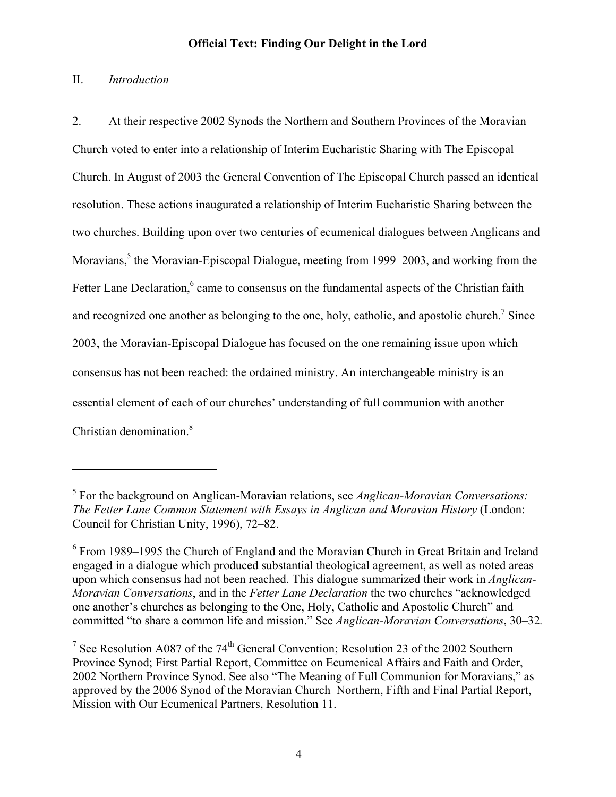## II. *Introduction*

 $\overline{a}$ 

2. At their respective 2002 Synods the Northern and Southern Provinces of the Moravian Church voted to enter into a relationship of Interim Eucharistic Sharing with The Episcopal Church. In August of 2003 the General Convention of The Episcopal Church passed an identical resolution. These actions inaugurated a relationship of Interim Eucharistic Sharing between the two churches. Building upon over two centuries of ecumenical dialogues between Anglicans and Moravians,<sup>5</sup> the Moravian-Episcopal Dialogue, meeting from 1999–2003, and working from the Fetter Lane Declaration,<sup>6</sup> came to consensus on the fundamental aspects of the Christian faith and recognized one another as belonging to the one, holy, catholic, and apostolic church.<sup>7</sup> Since 2003, the Moravian-Episcopal Dialogue has focused on the one remaining issue upon which consensus has not been reached: the ordained ministry. An interchangeable ministry is an essential element of each of our churches' understanding of full communion with another Christian denomination.<sup>8</sup>

<sup>5</sup> For the background on Anglican-Moravian relations, see *Anglican-Moravian Conversations: The Fetter Lane Common Statement with Essays in Anglican and Moravian History* (London: Council for Christian Unity, 1996), 72–82.

<sup>&</sup>lt;sup>6</sup> From 1989–1995 the Church of England and the Moravian Church in Great Britain and Ireland engaged in a dialogue which produced substantial theological agreement, as well as noted areas upon which consensus had not been reached. This dialogue summarized their work in *Anglican-Moravian Conversations*, and in the *Fetter Lane Declaration* the two churches "acknowledged one another's churches as belonging to the One, Holy, Catholic and Apostolic Church" and committed "to share a common life and mission." See *Anglican-Moravian Conversations*, 30–32*.*

<sup>&</sup>lt;sup>7</sup> See Resolution A087 of the 74<sup>th</sup> General Convention; Resolution 23 of the 2002 Southern Province Synod; First Partial Report, Committee on Ecumenical Affairs and Faith and Order, 2002 Northern Province Synod. See also "The Meaning of Full Communion for Moravians," as approved by the 2006 Synod of the Moravian Church–Northern, Fifth and Final Partial Report, Mission with Our Ecumenical Partners, Resolution 11.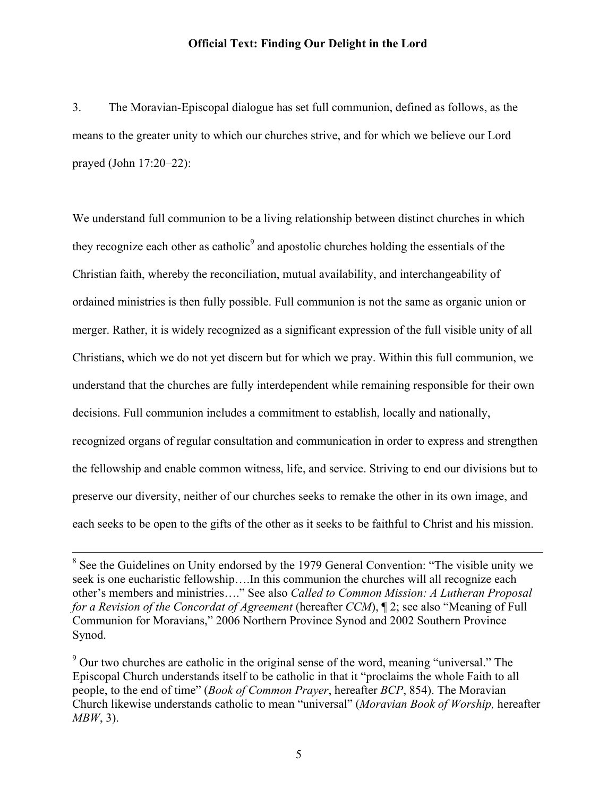3. The Moravian-Episcopal dialogue has set full communion, defined as follows, as the means to the greater unity to which our churches strive, and for which we believe our Lord prayed (John 17:20–22):

We understand full communion to be a living relationship between distinct churches in which they recognize each other as catholic<sup>9</sup> and apostolic churches holding the essentials of the Christian faith, whereby the reconciliation, mutual availability, and interchangeability of ordained ministries is then fully possible. Full communion is not the same as organic union or merger. Rather, it is widely recognized as a significant expression of the full visible unity of all Christians, which we do not yet discern but for which we pray. Within this full communion, we understand that the churches are fully interdependent while remaining responsible for their own decisions. Full communion includes a commitment to establish, locally and nationally, recognized organs of regular consultation and communication in order to express and strengthen the fellowship and enable common witness, life, and service. Striving to end our divisions but to preserve our diversity, neither of our churches seeks to remake the other in its own image, and each seeks to be open to the gifts of the other as it seeks to be faithful to Christ and his mission.

<sup>&</sup>lt;sup>8</sup> See the Guidelines on Unity endorsed by the 1979 General Convention: "The visible unity we seek is one eucharistic fellowship….In this communion the churches will all recognize each other's members and ministries…." See also *Called to Common Mission: A Lutheran Proposal for a Revision of the Concordat of Agreement* (hereafter *CCM*), ¶ 2; see also "Meaning of Full Communion for Moravians," 2006 Northern Province Synod and 2002 Southern Province Synod.

 $9^9$  Our two churches are catholic in the original sense of the word, meaning "universal." The Episcopal Church understands itself to be catholic in that it "proclaims the whole Faith to all people, to the end of time" (*Book of Common Prayer*, hereafter *BCP*, 854). The Moravian Church likewise understands catholic to mean "universal" (*Moravian Book of Worship,* hereafter *MBW*, 3).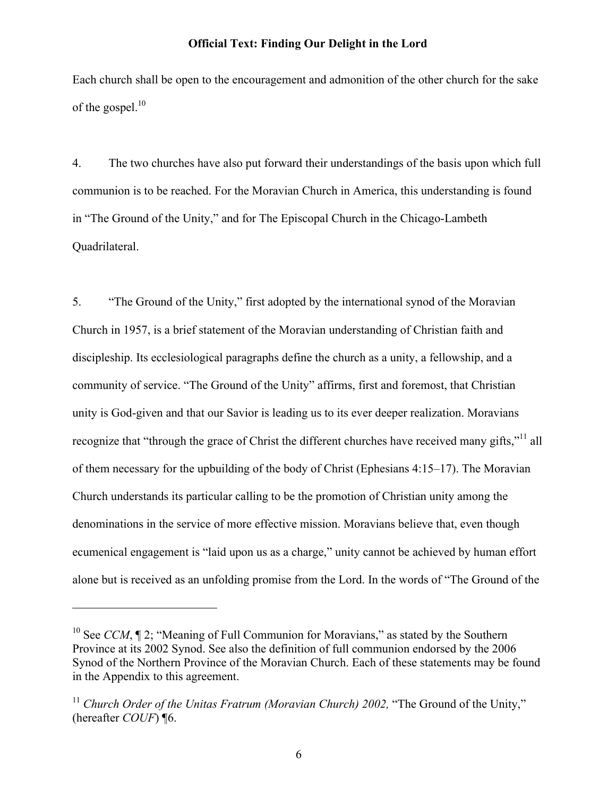Each church shall be open to the encouragement and admonition of the other church for the sake of the gospel. $10$ 

4. The two churches have also put forward their understandings of the basis upon which full communion is to be reached. For the Moravian Church in America, this understanding is found in "The Ground of the Unity," and for The Episcopal Church in the Chicago-Lambeth Quadrilateral.

5. "The Ground of the Unity," first adopted by the international synod of the Moravian Church in 1957, is a brief statement of the Moravian understanding of Christian faith and discipleship. Its ecclesiological paragraphs define the church as a unity, a fellowship, and a community of service. "The Ground of the Unity" affirms, first and foremost, that Christian unity is God-given and that our Savior is leading us to its ever deeper realization. Moravians recognize that "through the grace of Christ the different churches have received many gifts,"<sup>11</sup> all of them necessary for the upbuilding of the body of Christ (Ephesians 4:15–17). The Moravian Church understands its particular calling to be the promotion of Christian unity among the denominations in the service of more effective mission. Moravians believe that, even though ecumenical engagement is "laid upon us as a charge," unity cannot be achieved by human effort alone but is received as an unfolding promise from the Lord. In the words of "The Ground of the

<sup>&</sup>lt;sup>10</sup> See *CCM*,  $\mathbb{I}$  2; "Meaning of Full Communion for Moravians," as stated by the Southern Province at its 2002 Synod. See also the definition of full communion endorsed by the 2006 Synod of the Northern Province of the Moravian Church. Each of these statements may be found in the Appendix to this agreement.

<sup>&</sup>lt;sup>11</sup> *Church Order of the Unitas Fratrum (Moravian Church) 2002*. "The Ground of the Unity," (hereafter *COUF*) ¶6.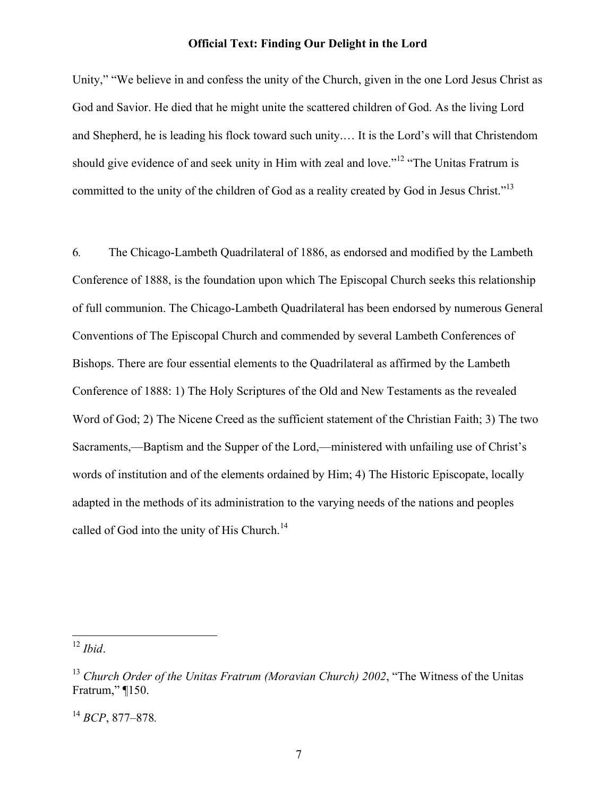Unity," "We believe in and confess the unity of the Church, given in the one Lord Jesus Christ as God and Savior. He died that he might unite the scattered children of God. As the living Lord and Shepherd, he is leading his flock toward such unity.… It is the Lord's will that Christendom should give evidence of and seek unity in Him with zeal and love."<sup>12</sup> "The Unitas Fratrum is committed to the unity of the children of God as a reality created by God in Jesus Christ."<sup>13</sup>

6*.* The Chicago-Lambeth Quadrilateral of 1886, as endorsed and modified by the Lambeth Conference of 1888, is the foundation upon which The Episcopal Church seeks this relationship of full communion. The Chicago-Lambeth Quadrilateral has been endorsed by numerous General Conventions of The Episcopal Church and commended by several Lambeth Conferences of Bishops. There are four essential elements to the Quadrilateral as affirmed by the Lambeth Conference of 1888: 1) The Holy Scriptures of the Old and New Testaments as the revealed Word of God; 2) The Nicene Creed as the sufficient statement of the Christian Faith; 3) The two Sacraments,—Baptism and the Supper of the Lord,—ministered with unfailing use of Christ's words of institution and of the elements ordained by Him; 4) The Historic Episcopate, locally adapted in the methods of its administration to the varying needs of the nations and peoples called of God into the unity of His Church.<sup>14</sup>

 <sup>12</sup> *Ibid*.

<sup>&</sup>lt;sup>13</sup> *Church Order of the Unitas Fratrum (Moravian Church) 2002*, "The Witness of the Unitas Fratrum," ¶150.

<sup>14</sup>  *BCP*, 877–878*.*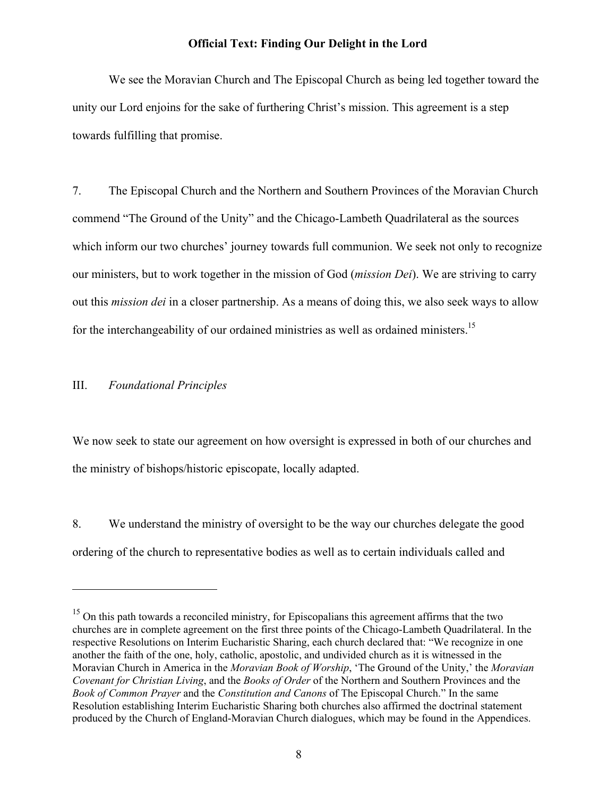We see the Moravian Church and The Episcopal Church as being led together toward the unity our Lord enjoins for the sake of furthering Christ's mission. This agreement is a step towards fulfilling that promise.

7. The Episcopal Church and the Northern and Southern Provinces of the Moravian Church commend "The Ground of the Unity" and the Chicago-Lambeth Quadrilateral as the sources which inform our two churches' journey towards full communion. We seek not only to recognize our ministers, but to work together in the mission of God (*mission Dei*). We are striving to carry out this *mission dei* in a closer partnership. As a means of doing this, we also seek ways to allow for the interchangeability of our ordained ministries as well as ordained ministers.<sup>15</sup>

#### III. *Foundational Principles*

 $\overline{a}$ 

We now seek to state our agreement on how oversight is expressed in both of our churches and the ministry of bishops/historic episcopate, locally adapted.

8. We understand the ministry of oversight to be the way our churches delegate the good ordering of the church to representative bodies as well as to certain individuals called and

<sup>&</sup>lt;sup>15</sup> On this path towards a reconciled ministry, for Episcopalians this agreement affirms that the two churches are in complete agreement on the first three points of the Chicago-Lambeth Quadrilateral. In the respective Resolutions on Interim Eucharistic Sharing, each church declared that: "We recognize in one another the faith of the one, holy, catholic, apostolic, and undivided church as it is witnessed in the Moravian Church in America in the *Moravian Book of Worship*, 'The Ground of the Unity,' the *Moravian Covenant for Christian Living*, and the *Books of Order* of the Northern and Southern Provinces and the *Book of Common Prayer* and the *Constitution and Canons* of The Episcopal Church." In the same Resolution establishing Interim Eucharistic Sharing both churches also affirmed the doctrinal statement produced by the Church of England-Moravian Church dialogues, which may be found in the Appendices.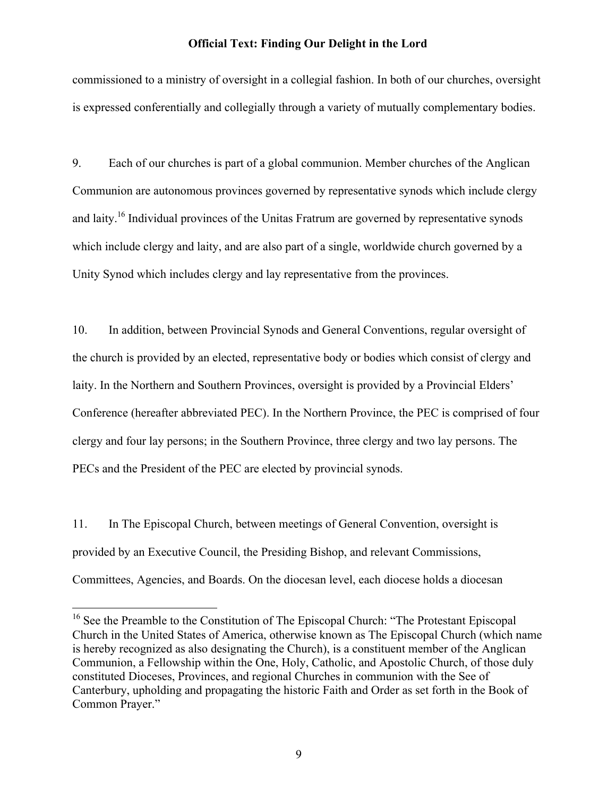commissioned to a ministry of oversight in a collegial fashion. In both of our churches, oversight is expressed conferentially and collegially through a variety of mutually complementary bodies.

9. Each of our churches is part of a global communion. Member churches of the Anglican Communion are autonomous provinces governed by representative synods which include clergy and laity.<sup>16</sup> Individual provinces of the Unitas Fratrum are governed by representative synods which include clergy and laity, and are also part of a single, worldwide church governed by a Unity Synod which includes clergy and lay representative from the provinces.

10. In addition, between Provincial Synods and General Conventions, regular oversight of the church is provided by an elected, representative body or bodies which consist of clergy and laity. In the Northern and Southern Provinces, oversight is provided by a Provincial Elders' Conference (hereafter abbreviated PEC). In the Northern Province, the PEC is comprised of four clergy and four lay persons; in the Southern Province, three clergy and two lay persons. The PECs and the President of the PEC are elected by provincial synods.

11. In The Episcopal Church, between meetings of General Convention, oversight is provided by an Executive Council, the Presiding Bishop, and relevant Commissions, Committees, Agencies, and Boards. On the diocesan level, each diocese holds a diocesan

<sup>&</sup>lt;sup>16</sup> See the Preamble to the Constitution of The Episcopal Church: "The Protestant Episcopal Church in the United States of America, otherwise known as The Episcopal Church (which name is hereby recognized as also designating the Church), is a constituent member of the Anglican Communion, a Fellowship within the One, Holy, Catholic, and Apostolic Church, of those duly constituted Dioceses, Provinces, and regional Churches in communion with the See of Canterbury, upholding and propagating the historic Faith and Order as set forth in the Book of Common Prayer."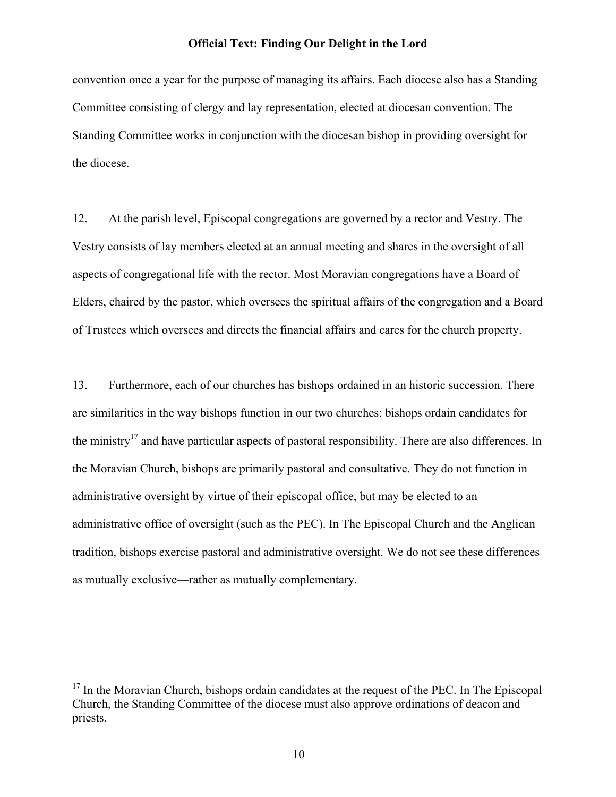convention once a year for the purpose of managing its affairs. Each diocese also has a Standing Committee consisting of clergy and lay representation, elected at diocesan convention. The Standing Committee works in conjunction with the diocesan bishop in providing oversight for the diocese.

12. At the parish level, Episcopal congregations are governed by a rector and Vestry. The Vestry consists of lay members elected at an annual meeting and shares in the oversight of all aspects of congregational life with the rector. Most Moravian congregations have a Board of Elders, chaired by the pastor, which oversees the spiritual affairs of the congregation and a Board of Trustees which oversees and directs the financial affairs and cares for the church property.

13. Furthermore, each of our churches has bishops ordained in an historic succession. There are similarities in the way bishops function in our two churches: bishops ordain candidates for the ministry<sup>17</sup> and have particular aspects of pastoral responsibility. There are also differences. In the Moravian Church, bishops are primarily pastoral and consultative. They do not function in administrative oversight by virtue of their episcopal office, but may be elected to an administrative office of oversight (such as the PEC). In The Episcopal Church and the Anglican tradition, bishops exercise pastoral and administrative oversight. We do not see these differences as mutually exclusive—rather as mutually complementary.

<sup>&</sup>lt;sup>17</sup> In the Moravian Church, bishops ordain candidates at the request of the PEC. In The Episcopal Church, the Standing Committee of the diocese must also approve ordinations of deacon and priests.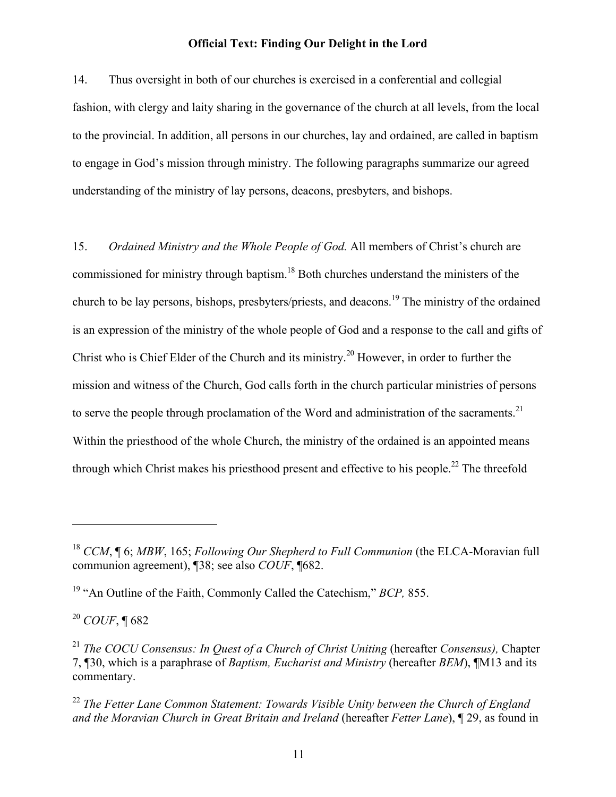14. Thus oversight in both of our churches is exercised in a conferential and collegial fashion, with clergy and laity sharing in the governance of the church at all levels, from the local to the provincial. In addition, all persons in our churches, lay and ordained, are called in baptism to engage in God's mission through ministry. The following paragraphs summarize our agreed understanding of the ministry of lay persons, deacons, presbyters, and bishops.

15. *Ordained Ministry and the Whole People of God.* All members of Christ's church are commissioned for ministry through baptism.<sup>18</sup> Both churches understand the ministers of the church to be lay persons, bishops, presbyters/priests, and deacons.<sup>19</sup> The ministry of the ordained is an expression of the ministry of the whole people of God and a response to the call and gifts of Christ who is Chief Elder of the Church and its ministry.<sup>20</sup> However, in order to further the mission and witness of the Church, God calls forth in the church particular ministries of persons to serve the people through proclamation of the Word and administration of the sacraments.<sup>21</sup> Within the priesthood of the whole Church, the ministry of the ordained is an appointed means through which Christ makes his priesthood present and effective to his people.<sup>22</sup> The threefold

<sup>20</sup> *COUF*, ¶ 682

<sup>18</sup> *CCM*, ¶ 6; *MBW*, 165; *Following Our Shepherd to Full Communion* (the ELCA-Moravian full communion agreement), ¶38; see also *COUF*, ¶682.

<sup>&</sup>lt;sup>19</sup> "An Outline of the Faith, Commonly Called the Catechism," *BCP*, 855.

<sup>&</sup>lt;sup>21</sup> *The COCU Consensus: In Quest of a Church of Christ Uniting (hereafter Consensus), Chapter* 7, ¶30, which is a paraphrase of *Baptism, Eucharist and Ministry* (hereafter *BEM*), ¶M13 and its commentary.

<sup>22</sup> *The Fetter Lane Common Statement: Towards Visible Unity between the Church of England and the Moravian Church in Great Britain and Ireland* (hereafter *Fetter Lane*), ¶ 29, as found in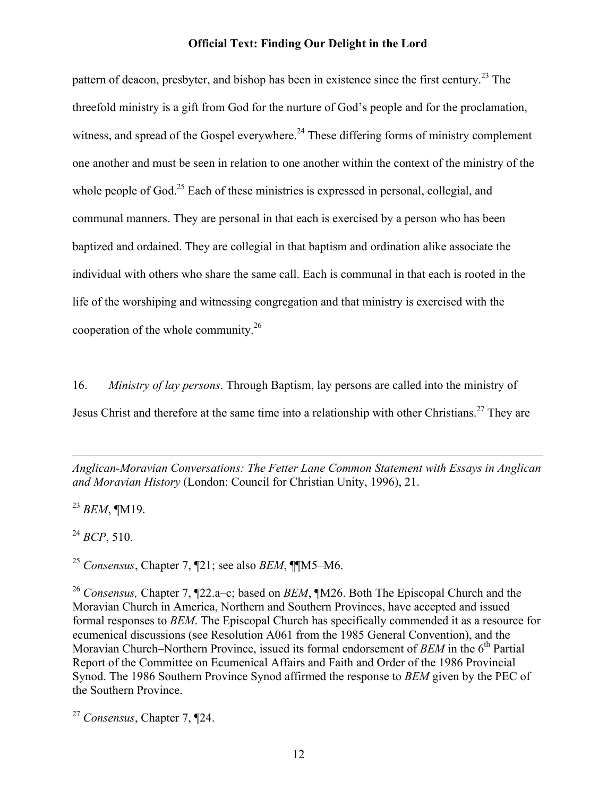pattern of deacon, presbyter, and bishop has been in existence since the first century.<sup>23</sup> The threefold ministry is a gift from God for the nurture of God's people and for the proclamation, witness, and spread of the Gospel everywhere.<sup>24</sup> These differing forms of ministry complement one another and must be seen in relation to one another within the context of the ministry of the whole people of God.<sup>25</sup> Each of these ministries is expressed in personal, collegial, and communal manners. They are personal in that each is exercised by a person who has been baptized and ordained. They are collegial in that baptism and ordination alike associate the individual with others who share the same call. Each is communal in that each is rooted in the life of the worshiping and witnessing congregation and that ministry is exercised with the cooperation of the whole community.26

16. *Ministry of lay persons*. Through Baptism, lay persons are called into the ministry of Jesus Christ and therefore at the same time into a relationship with other Christians.<sup>27</sup> They are

*Anglican-Moravian Conversations: The Fetter Lane Common Statement with Essays in Anglican and Moravian History* (London: Council for Christian Unity, 1996), 21.

<sup>23</sup> *BEM*, ¶M19.

<sup>24</sup> *BCP*, 510.

 $\overline{a}$ 

<sup>25</sup> *Consensus*, Chapter 7, ¶21; see also *BEM*, ¶¶M5–M6.

<sup>26</sup> *Consensus,* Chapter 7, ¶22.a–c; based on *BEM*, ¶M26. Both The Episcopal Church and the Moravian Church in America, Northern and Southern Provinces, have accepted and issued formal responses to *BEM*. The Episcopal Church has specifically commended it as a resource for ecumenical discussions (see Resolution A061 from the 1985 General Convention), and the Moravian Church–Northern Province, issued its formal endorsement of *BEM* in the 6<sup>th</sup> Partial Report of the Committee on Ecumenical Affairs and Faith and Order of the 1986 Provincial Synod. The 1986 Southern Province Synod affirmed the response to *BEM* given by the PEC of the Southern Province.

<sup>27</sup> *Consensus*, Chapter 7, ¶24.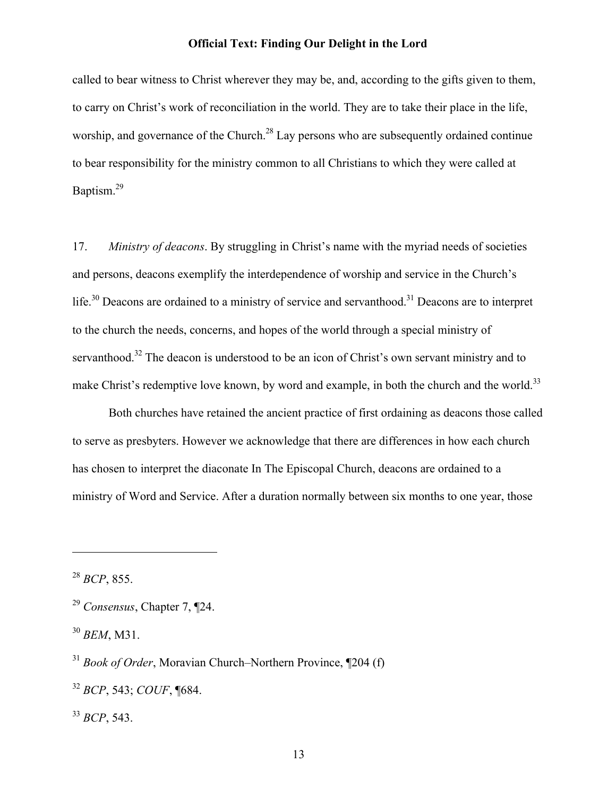called to bear witness to Christ wherever they may be, and, according to the gifts given to them, to carry on Christ's work of reconciliation in the world. They are to take their place in the life, worship, and governance of the Church. $^{28}$  Lay persons who are subsequently ordained continue to bear responsibility for the ministry common to all Christians to which they were called at Baptism.<sup>29</sup>

17. *Ministry of deacons*. By struggling in Christ's name with the myriad needs of societies and persons, deacons exemplify the interdependence of worship and service in the Church's life.<sup>30</sup> Deacons are ordained to a ministry of service and servanthood.<sup>31</sup> Deacons are to interpret to the church the needs, concerns, and hopes of the world through a special ministry of servanthood.<sup>32</sup> The deacon is understood to be an icon of Christ's own servant ministry and to make Christ's redemptive love known, by word and example, in both the church and the world.<sup>33</sup>

Both churches have retained the ancient practice of first ordaining as deacons those called to serve as presbyters. However we acknowledge that there are differences in how each church has chosen to interpret the diaconate In The Episcopal Church, deacons are ordained to a ministry of Word and Service. After a duration normally between six months to one year, those

<sup>28</sup> *BCP*, 855.

<sup>29</sup> *Consensus*, Chapter 7, ¶24.

<sup>30</sup> *BEM*, M31.

<sup>31</sup> *Book of Order*, Moravian Church–Northern Province, ¶204 (f)

<sup>32</sup> *BCP*, 543; *COUF*, ¶684.

<sup>33</sup> *BCP*, 543.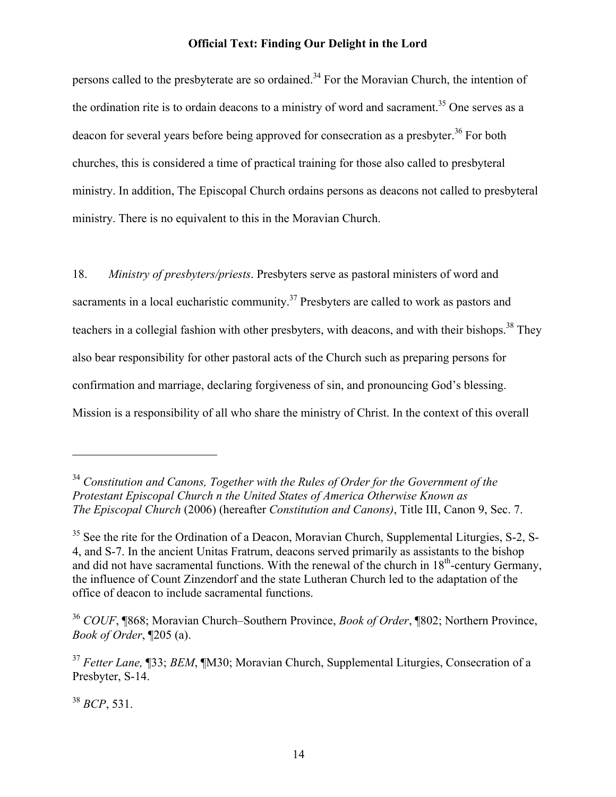persons called to the presbyterate are so ordained.<sup>34</sup> For the Moravian Church, the intention of the ordination rite is to ordain deacons to a ministry of word and sacrament.<sup>35</sup> One serves as a deacon for several years before being approved for consecration as a presbyter.<sup>36</sup> For both churches, this is considered a time of practical training for those also called to presbyteral ministry. In addition, The Episcopal Church ordains persons as deacons not called to presbyteral ministry. There is no equivalent to this in the Moravian Church.

18. *Ministry of presbyters/priests*. Presbyters serve as pastoral ministers of word and sacraments in a local eucharistic community.<sup>37</sup> Presbyters are called to work as pastors and teachers in a collegial fashion with other presbyters, with deacons, and with their bishops.<sup>38</sup> They also bear responsibility for other pastoral acts of the Church such as preparing persons for confirmation and marriage, declaring forgiveness of sin, and pronouncing God's blessing. Mission is a responsibility of all who share the ministry of Christ. In the context of this overall

<sup>38</sup> *BCP*, 531.

<sup>34</sup> *Constitution and Canons, Together with the Rules of Order for the Government of the Protestant Episcopal Church n the United States of America Otherwise Known as The Episcopal Church* (2006) (hereafter *Constitution and Canons)*, Title III, Canon 9, Sec. 7.

 $35$  See the rite for the Ordination of a Deacon, Moravian Church, Supplemental Liturgies, S-2, S-4, and S-7. In the ancient Unitas Fratrum, deacons served primarily as assistants to the bishop and did not have sacramental functions. With the renewal of the church in  $18<sup>th</sup>$ -century Germany, the influence of Count Zinzendorf and the state Lutheran Church led to the adaptation of the office of deacon to include sacramental functions.

<sup>36</sup> *COUF*, ¶868; Moravian Church–Southern Province, *Book of Order*, ¶802; Northern Province, *Book of Order*, ¶205 (a).

<sup>37</sup> *Fetter Lane,* ¶33; *BEM*, ¶M30; Moravian Church, Supplemental Liturgies, Consecration of a Presbyter, S-14.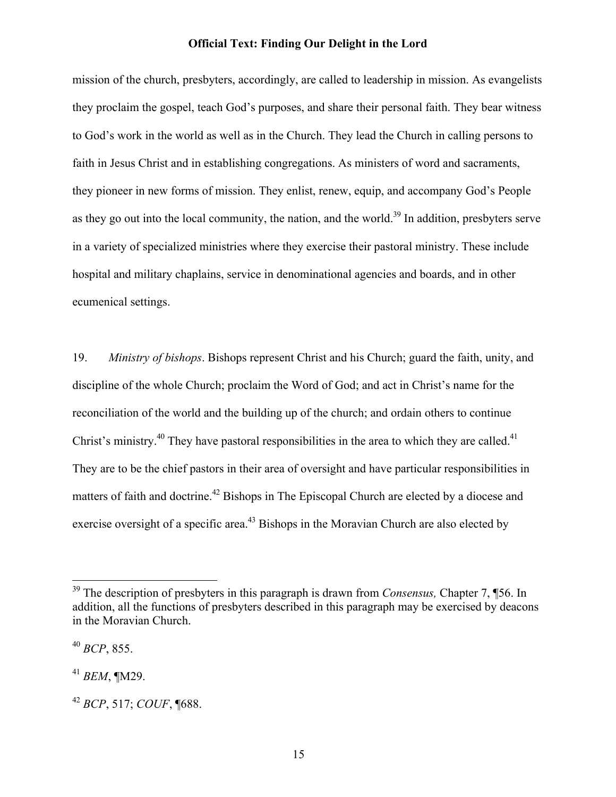mission of the church, presbyters, accordingly, are called to leadership in mission. As evangelists they proclaim the gospel, teach God's purposes, and share their personal faith. They bear witness to God's work in the world as well as in the Church. They lead the Church in calling persons to faith in Jesus Christ and in establishing congregations. As ministers of word and sacraments, they pioneer in new forms of mission. They enlist, renew, equip, and accompany God's People as they go out into the local community, the nation, and the world.<sup>39</sup> In addition, presbyters serve in a variety of specialized ministries where they exercise their pastoral ministry. These include hospital and military chaplains, service in denominational agencies and boards, and in other ecumenical settings.

19. *Ministry of bishops*. Bishops represent Christ and his Church; guard the faith, unity, and discipline of the whole Church; proclaim the Word of God; and act in Christ's name for the reconciliation of the world and the building up of the church; and ordain others to continue Christ's ministry.<sup>40</sup> They have pastoral responsibilities in the area to which they are called.<sup>41</sup> They are to be the chief pastors in their area of oversight and have particular responsibilities in matters of faith and doctrine.<sup>42</sup> Bishops in The Episcopal Church are elected by a diocese and exercise oversight of a specific area. $43$  Bishops in the Moravian Church are also elected by

<sup>40</sup> *BCP*, 855.

 <sup>39</sup> The description of presbyters in this paragraph is drawn from *Consensus,* Chapter 7, ¶56. In addition, all the functions of presbyters described in this paragraph may be exercised by deacons in the Moravian Church.

<sup>41</sup> *BEM*, ¶M29.

<sup>42</sup> *BCP*, 517; *COUF*, ¶688.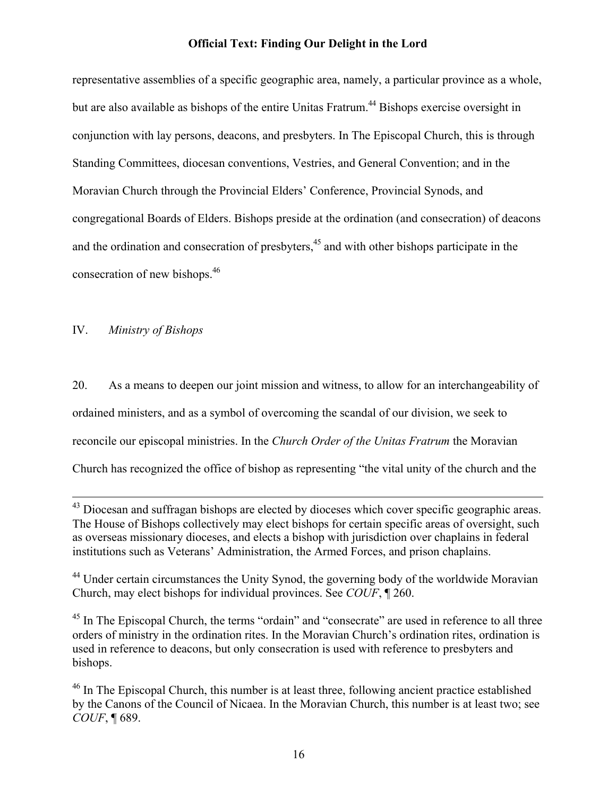representative assemblies of a specific geographic area, namely, a particular province as a whole, but are also available as bishops of the entire Unitas Fratrum.<sup>44</sup> Bishops exercise oversight in conjunction with lay persons, deacons, and presbyters. In The Episcopal Church, this is through Standing Committees, diocesan conventions, Vestries, and General Convention; and in the Moravian Church through the Provincial Elders' Conference, Provincial Synods, and congregational Boards of Elders. Bishops preside at the ordination (and consecration) of deacons and the ordination and consecration of presbyters,<sup>45</sup> and with other bishops participate in the consecration of new bishops.<sup>46</sup>

IV. *Ministry of Bishops*

20. As a means to deepen our joint mission and witness, to allow for an interchangeability of ordained ministers, and as a symbol of overcoming the scandal of our division, we seek to reconcile our episcopal ministries. In the *Church Order of the Unitas Fratrum* the Moravian Church has recognized the office of bishop as representing "the vital unity of the church and the

<sup>&</sup>lt;sup>43</sup> Diocesan and suffragan bishops are elected by dioceses which cover specific geographic areas. The House of Bishops collectively may elect bishops for certain specific areas of oversight, such as overseas missionary dioceses, and elects a bishop with jurisdiction over chaplains in federal institutions such as Veterans' Administration, the Armed Forces, and prison chaplains.

<sup>&</sup>lt;sup>44</sup> Under certain circumstances the Unity Synod, the governing body of the worldwide Moravian Church, may elect bishops for individual provinces. See *COUF*, ¶ 260.

<sup>&</sup>lt;sup>45</sup> In The Episcopal Church, the terms "ordain" and "consecrate" are used in reference to all three orders of ministry in the ordination rites. In the Moravian Church's ordination rites, ordination is used in reference to deacons, but only consecration is used with reference to presbyters and bishops.

<sup>&</sup>lt;sup>46</sup> In The Episcopal Church, this number is at least three, following ancient practice established by the Canons of the Council of Nicaea. In the Moravian Church, this number is at least two; see *COUF*, ¶ 689.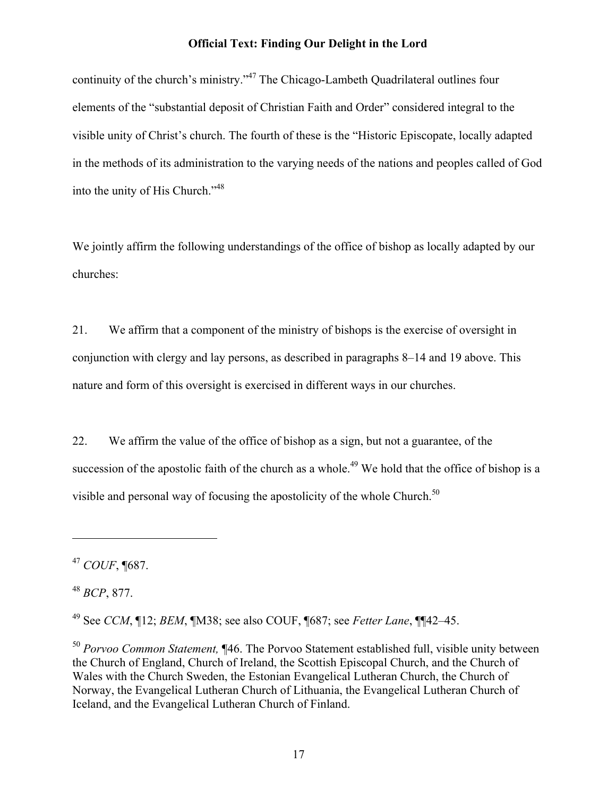continuity of the church's ministry."<sup>47</sup> The Chicago-Lambeth Quadrilateral outlines four elements of the "substantial deposit of Christian Faith and Order" considered integral to the visible unity of Christ's church. The fourth of these is the "Historic Episcopate, locally adapted in the methods of its administration to the varying needs of the nations and peoples called of God into the unity of His Church."48

We jointly affirm the following understandings of the office of bishop as locally adapted by our churches:

21. We affirm that a component of the ministry of bishops is the exercise of oversight in conjunction with clergy and lay persons, as described in paragraphs 8–14 and 19 above. This nature and form of this oversight is exercised in different ways in our churches.

22. We affirm the value of the office of bishop as a sign, but not a guarantee, of the succession of the apostolic faith of the church as a whole.<sup>49</sup> We hold that the office of bishop is a visible and personal way of focusing the apostolicity of the whole Church.<sup>50</sup>

<sup>47</sup> *COUF*, ¶687.

<sup>48</sup> *BCP*, 877.

 $\overline{a}$ 

49 See *CCM*, ¶12; *BEM*, ¶M38; see also COUF, ¶687; see *Fetter Lane*, ¶¶42–45.

<sup>50</sup> *Porvoo Common Statement,* ¶46. The Porvoo Statement established full, visible unity between the Church of England, Church of Ireland, the Scottish Episcopal Church, and the Church of Wales with the Church Sweden, the Estonian Evangelical Lutheran Church, the Church of Norway, the Evangelical Lutheran Church of Lithuania, the Evangelical Lutheran Church of Iceland, and the Evangelical Lutheran Church of Finland.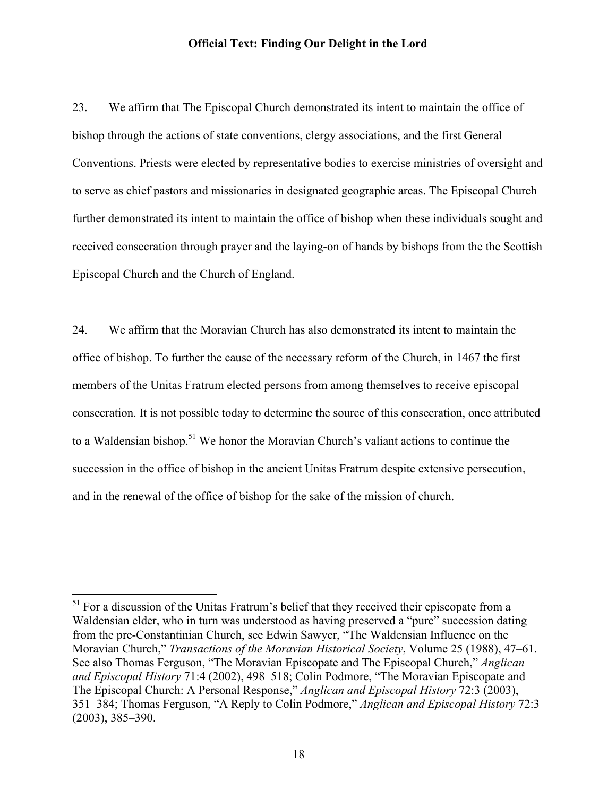23. We affirm that The Episcopal Church demonstrated its intent to maintain the office of bishop through the actions of state conventions, clergy associations, and the first General Conventions. Priests were elected by representative bodies to exercise ministries of oversight and to serve as chief pastors and missionaries in designated geographic areas. The Episcopal Church further demonstrated its intent to maintain the office of bishop when these individuals sought and received consecration through prayer and the laying-on of hands by bishops from the the Scottish Episcopal Church and the Church of England.

24. We affirm that the Moravian Church has also demonstrated its intent to maintain the office of bishop. To further the cause of the necessary reform of the Church, in 1467 the first members of the Unitas Fratrum elected persons from among themselves to receive episcopal consecration. It is not possible today to determine the source of this consecration, once attributed to a Waldensian bishop.<sup>51</sup> We honor the Moravian Church's valiant actions to continue the succession in the office of bishop in the ancient Unitas Fratrum despite extensive persecution, and in the renewal of the office of bishop for the sake of the mission of church.

<sup>&</sup>lt;sup>51</sup> For a discussion of the Unitas Fratrum's belief that they received their episcopate from a Waldensian elder, who in turn was understood as having preserved a "pure" succession dating from the pre-Constantinian Church, see Edwin Sawyer, "The Waldensian Influence on the Moravian Church," *Transactions of the Moravian Historical Society*, Volume 25 (1988), 47–61. See also Thomas Ferguson, "The Moravian Episcopate and The Episcopal Church," *Anglican and Episcopal History* 71:4 (2002), 498–518; Colin Podmore, "The Moravian Episcopate and The Episcopal Church: A Personal Response," *Anglican and Episcopal History* 72:3 (2003), 351–384; Thomas Ferguson, "A Reply to Colin Podmore," *Anglican and Episcopal History* 72:3 (2003), 385–390.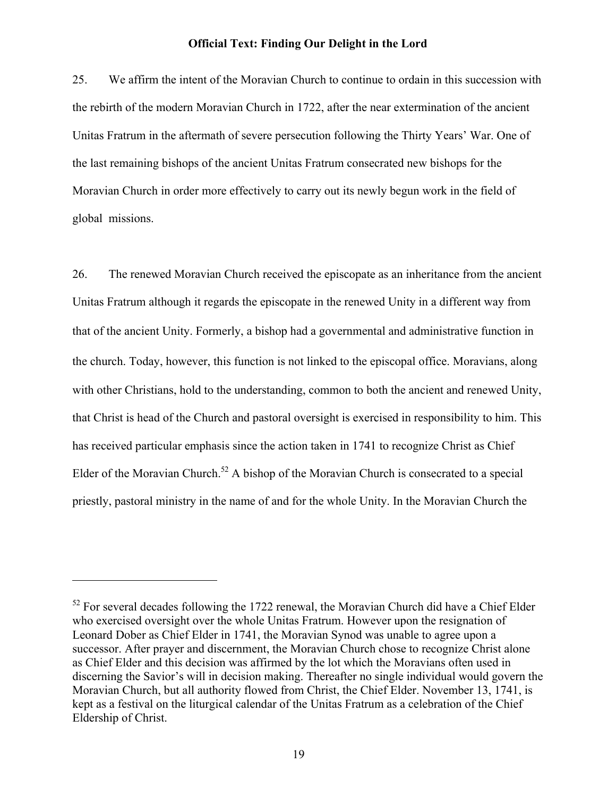25. We affirm the intent of the Moravian Church to continue to ordain in this succession with the rebirth of the modern Moravian Church in 1722, after the near extermination of the ancient Unitas Fratrum in the aftermath of severe persecution following the Thirty Years' War. One of the last remaining bishops of the ancient Unitas Fratrum consecrated new bishops for the Moravian Church in order more effectively to carry out its newly begun work in the field of global missions.

26. The renewed Moravian Church received the episcopate as an inheritance from the ancient Unitas Fratrum although it regards the episcopate in the renewed Unity in a different way from that of the ancient Unity. Formerly, a bishop had a governmental and administrative function in the church. Today, however, this function is not linked to the episcopal office. Moravians, along with other Christians, hold to the understanding, common to both the ancient and renewed Unity, that Christ is head of the Church and pastoral oversight is exercised in responsibility to him. This has received particular emphasis since the action taken in 1741 to recognize Christ as Chief Elder of the Moravian Church.<sup>52</sup> A bishop of the Moravian Church is consecrated to a special priestly, pastoral ministry in the name of and for the whole Unity. In the Moravian Church the

 $52$  For several decades following the 1722 renewal, the Moravian Church did have a Chief Elder who exercised oversight over the whole Unitas Fratrum. However upon the resignation of Leonard Dober as Chief Elder in 1741, the Moravian Synod was unable to agree upon a successor. After prayer and discernment, the Moravian Church chose to recognize Christ alone as Chief Elder and this decision was affirmed by the lot which the Moravians often used in discerning the Savior's will in decision making. Thereafter no single individual would govern the Moravian Church, but all authority flowed from Christ, the Chief Elder. November 13, 1741, is kept as a festival on the liturgical calendar of the Unitas Fratrum as a celebration of the Chief Eldership of Christ.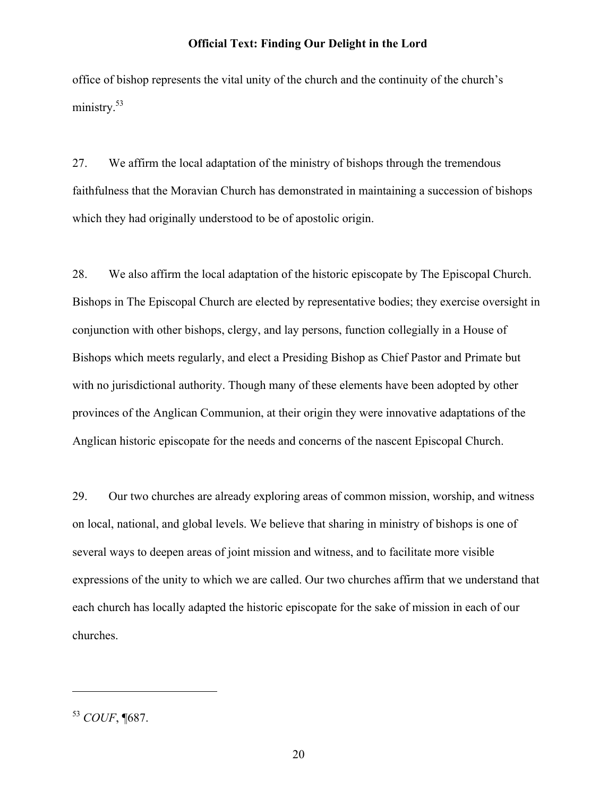office of bishop represents the vital unity of the church and the continuity of the church's ministry.<sup>53</sup>

27. We affirm the local adaptation of the ministry of bishops through the tremendous faithfulness that the Moravian Church has demonstrated in maintaining a succession of bishops which they had originally understood to be of apostolic origin.

28. We also affirm the local adaptation of the historic episcopate by The Episcopal Church. Bishops in The Episcopal Church are elected by representative bodies; they exercise oversight in conjunction with other bishops, clergy, and lay persons, function collegially in a House of Bishops which meets regularly, and elect a Presiding Bishop as Chief Pastor and Primate but with no jurisdictional authority. Though many of these elements have been adopted by other provinces of the Anglican Communion, at their origin they were innovative adaptations of the Anglican historic episcopate for the needs and concerns of the nascent Episcopal Church.

29. Our two churches are already exploring areas of common mission, worship, and witness on local, national, and global levels. We believe that sharing in ministry of bishops is one of several ways to deepen areas of joint mission and witness, and to facilitate more visible expressions of the unity to which we are called. Our two churches affirm that we understand that each church has locally adapted the historic episcopate for the sake of mission in each of our churches.

<sup>53</sup> *COUF*, ¶687.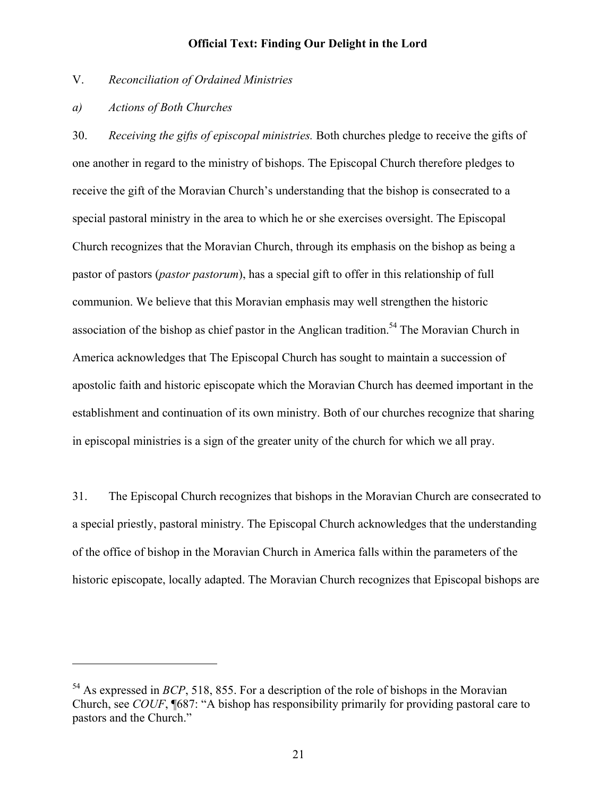V. *Reconciliation of Ordained Ministries*

*a) Actions of Both Churches*

 $\overline{a}$ 

30. *Receiving the gifts of episcopal ministries.* Both churches pledge to receive the gifts of one another in regard to the ministry of bishops. The Episcopal Church therefore pledges to receive the gift of the Moravian Church's understanding that the bishop is consecrated to a special pastoral ministry in the area to which he or she exercises oversight. The Episcopal Church recognizes that the Moravian Church, through its emphasis on the bishop as being a pastor of pastors (*pastor pastorum*), has a special gift to offer in this relationship of full communion. We believe that this Moravian emphasis may well strengthen the historic association of the bishop as chief pastor in the Anglican tradition.<sup>54</sup> The Moravian Church in America acknowledges that The Episcopal Church has sought to maintain a succession of apostolic faith and historic episcopate which the Moravian Church has deemed important in the establishment and continuation of its own ministry. Both of our churches recognize that sharing in episcopal ministries is a sign of the greater unity of the church for which we all pray.

31. The Episcopal Church recognizes that bishops in the Moravian Church are consecrated to a special priestly, pastoral ministry. The Episcopal Church acknowledges that the understanding of the office of bishop in the Moravian Church in America falls within the parameters of the historic episcopate, locally adapted. The Moravian Church recognizes that Episcopal bishops are

<sup>&</sup>lt;sup>54</sup> As expressed in *BCP*, 518, 855. For a description of the role of bishops in the Moravian Church, see *COUF*, ¶687: "A bishop has responsibility primarily for providing pastoral care to pastors and the Church."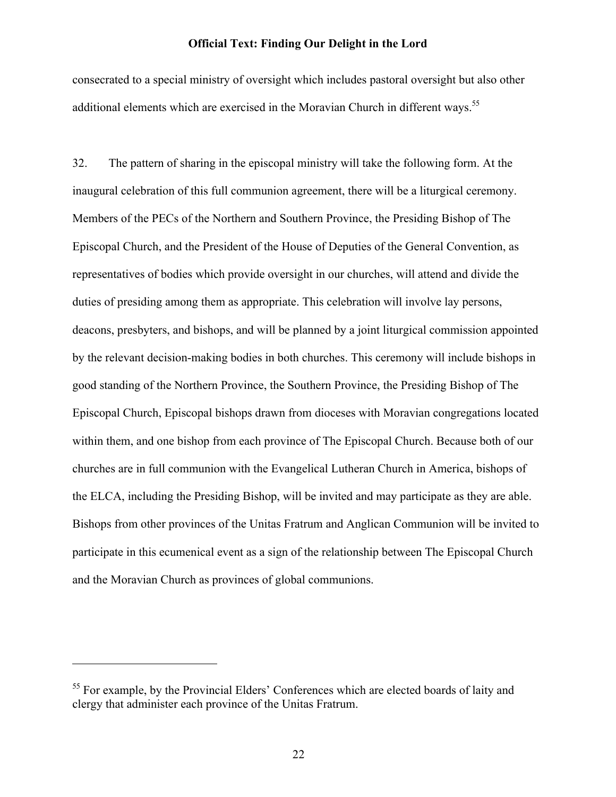consecrated to a special ministry of oversight which includes pastoral oversight but also other additional elements which are exercised in the Moravian Church in different ways.<sup>55</sup>

32. The pattern of sharing in the episcopal ministry will take the following form. At the inaugural celebration of this full communion agreement, there will be a liturgical ceremony. Members of the PECs of the Northern and Southern Province, the Presiding Bishop of The Episcopal Church, and the President of the House of Deputies of the General Convention, as representatives of bodies which provide oversight in our churches, will attend and divide the duties of presiding among them as appropriate. This celebration will involve lay persons, deacons, presbyters, and bishops, and will be planned by a joint liturgical commission appointed by the relevant decision-making bodies in both churches. This ceremony will include bishops in good standing of the Northern Province, the Southern Province, the Presiding Bishop of The Episcopal Church, Episcopal bishops drawn from dioceses with Moravian congregations located within them, and one bishop from each province of The Episcopal Church. Because both of our churches are in full communion with the Evangelical Lutheran Church in America, bishops of the ELCA, including the Presiding Bishop, will be invited and may participate as they are able. Bishops from other provinces of the Unitas Fratrum and Anglican Communion will be invited to participate in this ecumenical event as a sign of the relationship between The Episcopal Church and the Moravian Church as provinces of global communions.

<sup>&</sup>lt;sup>55</sup> For example, by the Provincial Elders' Conferences which are elected boards of laity and clergy that administer each province of the Unitas Fratrum.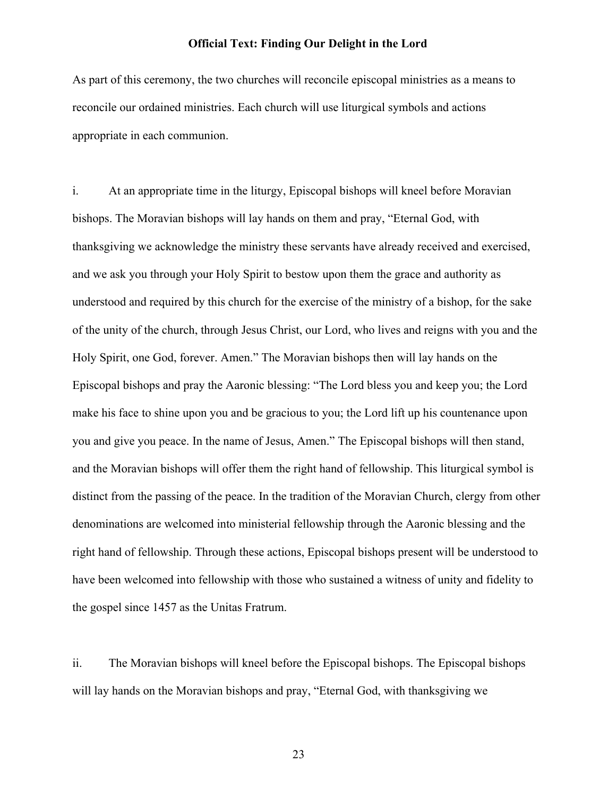As part of this ceremony, the two churches will reconcile episcopal ministries as a means to reconcile our ordained ministries. Each church will use liturgical symbols and actions appropriate in each communion.

i. At an appropriate time in the liturgy, Episcopal bishops will kneel before Moravian bishops. The Moravian bishops will lay hands on them and pray, "Eternal God, with thanksgiving we acknowledge the ministry these servants have already received and exercised, and we ask you through your Holy Spirit to bestow upon them the grace and authority as understood and required by this church for the exercise of the ministry of a bishop, for the sake of the unity of the church, through Jesus Christ, our Lord, who lives and reigns with you and the Holy Spirit, one God, forever. Amen." The Moravian bishops then will lay hands on the Episcopal bishops and pray the Aaronic blessing: "The Lord bless you and keep you; the Lord make his face to shine upon you and be gracious to you; the Lord lift up his countenance upon you and give you peace. In the name of Jesus, Amen." The Episcopal bishops will then stand, and the Moravian bishops will offer them the right hand of fellowship. This liturgical symbol is distinct from the passing of the peace. In the tradition of the Moravian Church, clergy from other denominations are welcomed into ministerial fellowship through the Aaronic blessing and the right hand of fellowship. Through these actions, Episcopal bishops present will be understood to have been welcomed into fellowship with those who sustained a witness of unity and fidelity to the gospel since 1457 as the Unitas Fratrum.

ii. The Moravian bishops will kneel before the Episcopal bishops. The Episcopal bishops will lay hands on the Moravian bishops and pray, "Eternal God, with thanksgiving we

23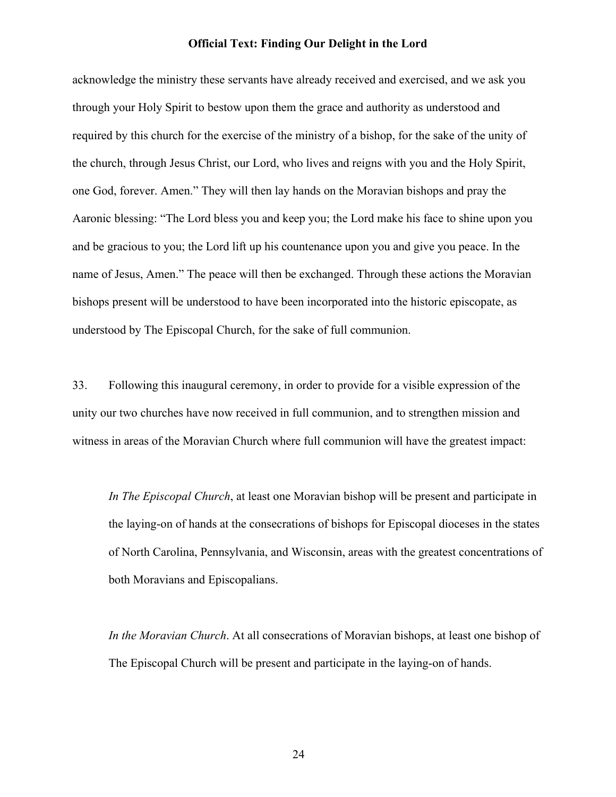acknowledge the ministry these servants have already received and exercised, and we ask you through your Holy Spirit to bestow upon them the grace and authority as understood and required by this church for the exercise of the ministry of a bishop, for the sake of the unity of the church, through Jesus Christ, our Lord, who lives and reigns with you and the Holy Spirit, one God, forever. Amen." They will then lay hands on the Moravian bishops and pray the Aaronic blessing: "The Lord bless you and keep you; the Lord make his face to shine upon you and be gracious to you; the Lord lift up his countenance upon you and give you peace. In the name of Jesus, Amen." The peace will then be exchanged. Through these actions the Moravian bishops present will be understood to have been incorporated into the historic episcopate, as understood by The Episcopal Church, for the sake of full communion.

33. Following this inaugural ceremony, in order to provide for a visible expression of the unity our two churches have now received in full communion, and to strengthen mission and witness in areas of the Moravian Church where full communion will have the greatest impact:

*In The Episcopal Church*, at least one Moravian bishop will be present and participate in the laying-on of hands at the consecrations of bishops for Episcopal dioceses in the states of North Carolina, Pennsylvania, and Wisconsin, areas with the greatest concentrations of both Moravians and Episcopalians.

*In the Moravian Church*. At all consecrations of Moravian bishops, at least one bishop of The Episcopal Church will be present and participate in the laying-on of hands.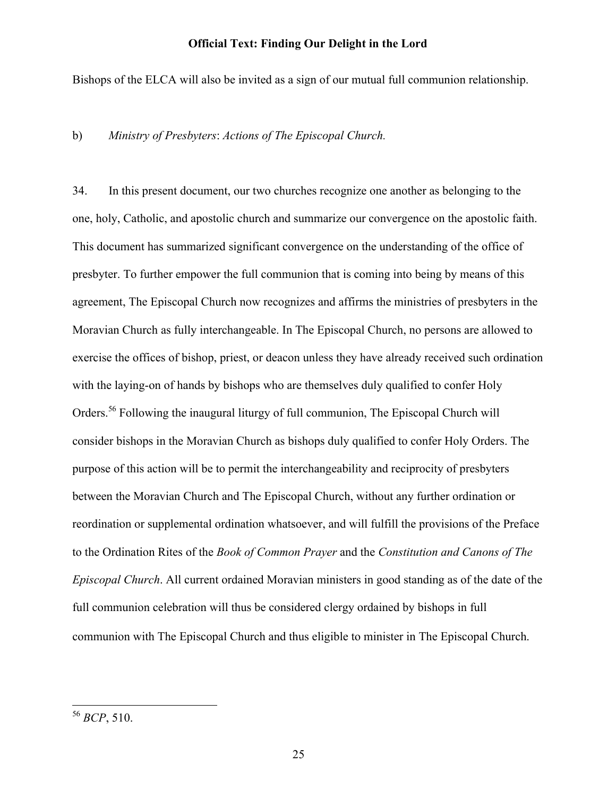Bishops of the ELCA will also be invited as a sign of our mutual full communion relationship.

#### b) *Ministry of Presbyters*: *Actions of The Episcopal Church.*

34. In this present document, our two churches recognize one another as belonging to the one, holy, Catholic, and apostolic church and summarize our convergence on the apostolic faith. This document has summarized significant convergence on the understanding of the office of presbyter. To further empower the full communion that is coming into being by means of this agreement, The Episcopal Church now recognizes and affirms the ministries of presbyters in the Moravian Church as fully interchangeable. In The Episcopal Church, no persons are allowed to exercise the offices of bishop, priest, or deacon unless they have already received such ordination with the laying-on of hands by bishops who are themselves duly qualified to confer Holy Orders.<sup>56</sup> Following the inaugural liturgy of full communion, The Episcopal Church will consider bishops in the Moravian Church as bishops duly qualified to confer Holy Orders. The purpose of this action will be to permit the interchangeability and reciprocity of presbyters between the Moravian Church and The Episcopal Church, without any further ordination or reordination or supplemental ordination whatsoever, and will fulfill the provisions of the Preface to the Ordination Rites of the *Book of Common Prayer* and the *Constitution and Canons of The Episcopal Church*. All current ordained Moravian ministers in good standing as of the date of the full communion celebration will thus be considered clergy ordained by bishops in full communion with The Episcopal Church and thus eligible to minister in The Episcopal Church.

 <sup>56</sup> *BCP*, 510.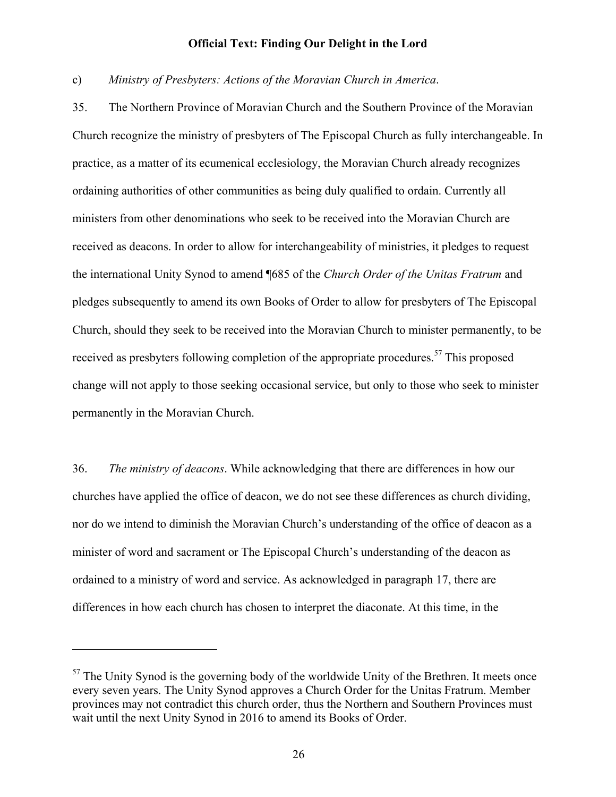c) *Ministry of Presbyters: Actions of the Moravian Church in America*.

35. The Northern Province of Moravian Church and the Southern Province of the Moravian Church recognize the ministry of presbyters of The Episcopal Church as fully interchangeable. In practice, as a matter of its ecumenical ecclesiology, the Moravian Church already recognizes ordaining authorities of other communities as being duly qualified to ordain. Currently all ministers from other denominations who seek to be received into the Moravian Church are received as deacons. In order to allow for interchangeability of ministries, it pledges to request the international Unity Synod to amend ¶685 of the *Church Order of the Unitas Fratrum* and pledges subsequently to amend its own Books of Order to allow for presbyters of The Episcopal Church, should they seek to be received into the Moravian Church to minister permanently, to be received as presbyters following completion of the appropriate procedures.<sup>57</sup> This proposed change will not apply to those seeking occasional service, but only to those who seek to minister permanently in the Moravian Church.

36. *The ministry of deacons*. While acknowledging that there are differences in how our churches have applied the office of deacon, we do not see these differences as church dividing, nor do we intend to diminish the Moravian Church's understanding of the office of deacon as a minister of word and sacrament or The Episcopal Church's understanding of the deacon as ordained to a ministry of word and service. As acknowledged in paragraph 17, there are differences in how each church has chosen to interpret the diaconate. At this time, in the

 $<sup>57</sup>$  The Unity Synod is the governing body of the worldwide Unity of the Brethren. It meets once</sup> every seven years. The Unity Synod approves a Church Order for the Unitas Fratrum. Member provinces may not contradict this church order, thus the Northern and Southern Provinces must wait until the next Unity Synod in 2016 to amend its Books of Order.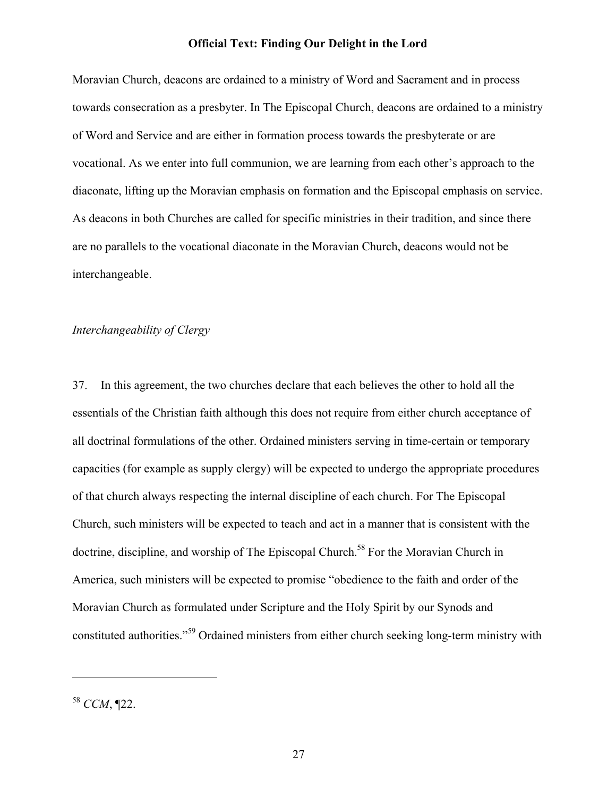Moravian Church, deacons are ordained to a ministry of Word and Sacrament and in process towards consecration as a presbyter. In The Episcopal Church, deacons are ordained to a ministry of Word and Service and are either in formation process towards the presbyterate or are vocational. As we enter into full communion, we are learning from each other's approach to the diaconate, lifting up the Moravian emphasis on formation and the Episcopal emphasis on service. As deacons in both Churches are called for specific ministries in their tradition, and since there are no parallels to the vocational diaconate in the Moravian Church, deacons would not be interchangeable.

## *Interchangeability of Clergy*

37. In this agreement, the two churches declare that each believes the other to hold all the essentials of the Christian faith although this does not require from either church acceptance of all doctrinal formulations of the other. Ordained ministers serving in time-certain or temporary capacities (for example as supply clergy) will be expected to undergo the appropriate procedures of that church always respecting the internal discipline of each church. For The Episcopal Church, such ministers will be expected to teach and act in a manner that is consistent with the doctrine, discipline, and worship of The Episcopal Church.<sup>58</sup> For the Moravian Church in America, such ministers will be expected to promise "obedience to the faith and order of the Moravian Church as formulated under Scripture and the Holy Spirit by our Synods and constituted authorities."<sup>59</sup> Ordained ministers from either church seeking long-term ministry with

<sup>58</sup> *CCM*, ¶22.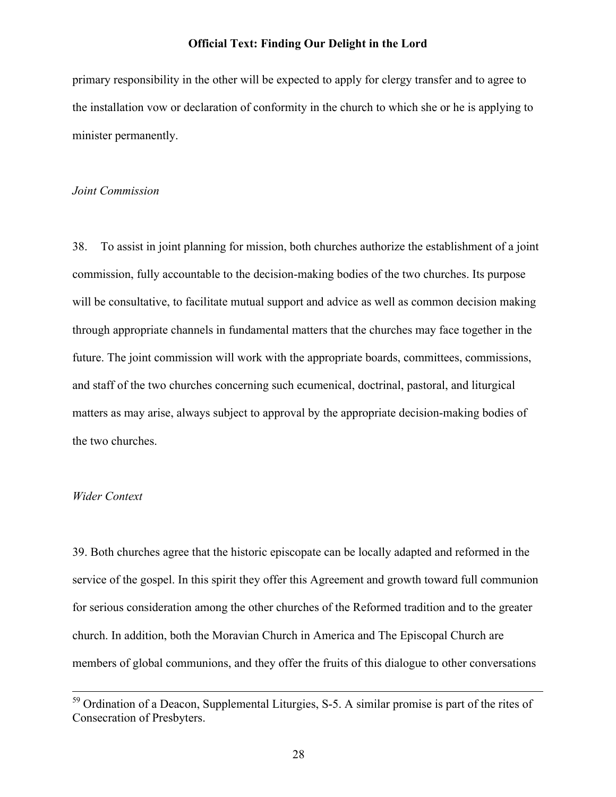primary responsibility in the other will be expected to apply for clergy transfer and to agree to the installation vow or declaration of conformity in the church to which she or he is applying to minister permanently.

#### *Joint Commission*

38. To assist in joint planning for mission, both churches authorize the establishment of a joint commission, fully accountable to the decision-making bodies of the two churches. Its purpose will be consultative, to facilitate mutual support and advice as well as common decision making through appropriate channels in fundamental matters that the churches may face together in the future. The joint commission will work with the appropriate boards, committees, commissions, and staff of the two churches concerning such ecumenical, doctrinal, pastoral, and liturgical matters as may arise, always subject to approval by the appropriate decision-making bodies of the two churches.

#### *Wider Context*

39. Both churches agree that the historic episcopate can be locally adapted and reformed in the service of the gospel. In this spirit they offer this Agreement and growth toward full communion for serious consideration among the other churches of the Reformed tradition and to the greater church. In addition, both the Moravian Church in America and The Episcopal Church are members of global communions, and they offer the fruits of this dialogue to other conversations

<sup>&</sup>lt;sup>59</sup> Ordination of a Deacon, Supplemental Liturgies, S-5. A similar promise is part of the rites of Consecration of Presbyters.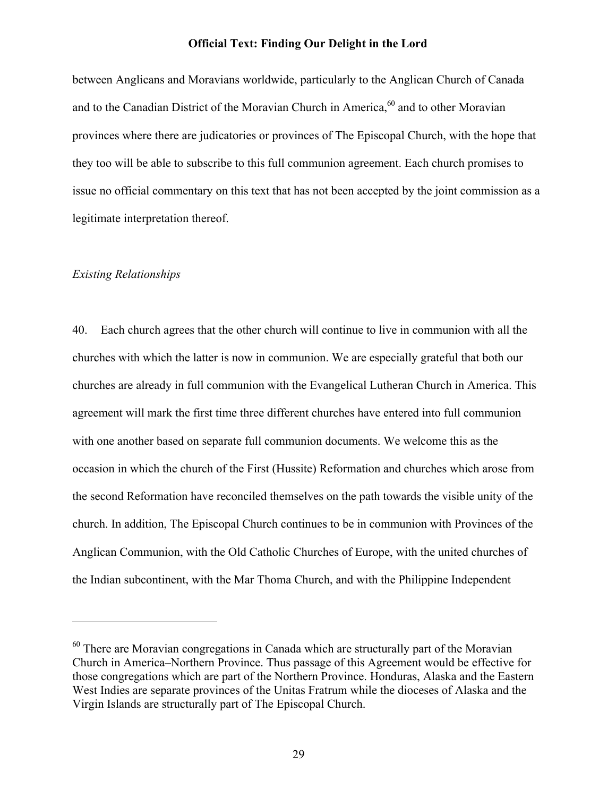between Anglicans and Moravians worldwide, particularly to the Anglican Church of Canada and to the Canadian District of the Moravian Church in America,  $60$  and to other Moravian provinces where there are judicatories or provinces of The Episcopal Church, with the hope that they too will be able to subscribe to this full communion agreement. Each church promises to issue no official commentary on this text that has not been accepted by the joint commission as a legitimate interpretation thereof.

#### *Existing Relationships*

 $\overline{a}$ 

40. Each church agrees that the other church will continue to live in communion with all the churches with which the latter is now in communion. We are especially grateful that both our churches are already in full communion with the Evangelical Lutheran Church in America. This agreement will mark the first time three different churches have entered into full communion with one another based on separate full communion documents. We welcome this as the occasion in which the church of the First (Hussite) Reformation and churches which arose from the second Reformation have reconciled themselves on the path towards the visible unity of the church. In addition, The Episcopal Church continues to be in communion with Provinces of the Anglican Communion, with the Old Catholic Churches of Europe, with the united churches of the Indian subcontinent, with the Mar Thoma Church, and with the Philippine Independent

 $60$  There are Moravian congregations in Canada which are structurally part of the Moravian Church in America–Northern Province. Thus passage of this Agreement would be effective for those congregations which are part of the Northern Province. Honduras, Alaska and the Eastern West Indies are separate provinces of the Unitas Fratrum while the dioceses of Alaska and the Virgin Islands are structurally part of The Episcopal Church.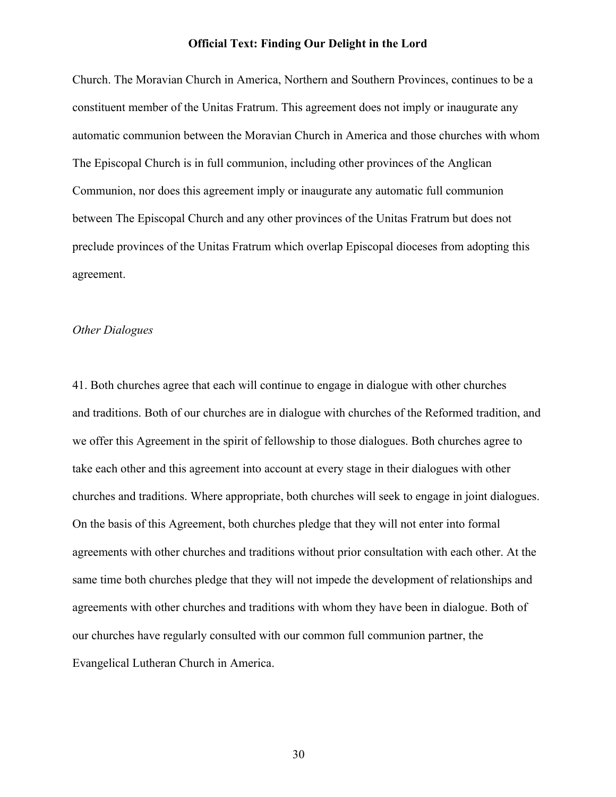Church. The Moravian Church in America, Northern and Southern Provinces, continues to be a constituent member of the Unitas Fratrum. This agreement does not imply or inaugurate any automatic communion between the Moravian Church in America and those churches with whom The Episcopal Church is in full communion, including other provinces of the Anglican Communion, nor does this agreement imply or inaugurate any automatic full communion between The Episcopal Church and any other provinces of the Unitas Fratrum but does not preclude provinces of the Unitas Fratrum which overlap Episcopal dioceses from adopting this agreement.

#### *Other Dialogues*

41. Both churches agree that each will continue to engage in dialogue with other churches and traditions. Both of our churches are in dialogue with churches of the Reformed tradition, and we offer this Agreement in the spirit of fellowship to those dialogues. Both churches agree to take each other and this agreement into account at every stage in their dialogues with other churches and traditions. Where appropriate, both churches will seek to engage in joint dialogues. On the basis of this Agreement, both churches pledge that they will not enter into formal agreements with other churches and traditions without prior consultation with each other. At the same time both churches pledge that they will not impede the development of relationships and agreements with other churches and traditions with whom they have been in dialogue. Both of our churches have regularly consulted with our common full communion partner, the Evangelical Lutheran Church in America.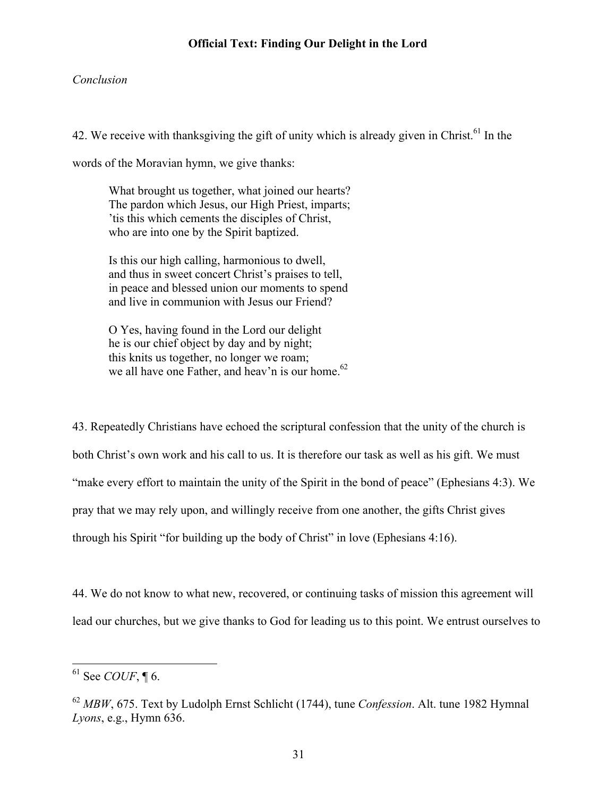## *Conclusion*

42. We receive with thanksgiving the gift of unity which is already given in Christ.<sup>61</sup> In the

words of the Moravian hymn, we give thanks:

What brought us together, what joined our hearts? The pardon which Jesus, our High Priest, imparts; 'tis this which cements the disciples of Christ, who are into one by the Spirit baptized.

Is this our high calling, harmonious to dwell, and thus in sweet concert Christ's praises to tell, in peace and blessed union our moments to spend and live in communion with Jesus our Friend?

O Yes, having found in the Lord our delight he is our chief object by day and by night; this knits us together, no longer we roam; we all have one Father, and heav'n is our home.<sup>62</sup>

43. Repeatedly Christians have echoed the scriptural confession that the unity of the church is both Christ's own work and his call to us. It is therefore our task as well as his gift. We must "make every effort to maintain the unity of the Spirit in the bond of peace" (Ephesians 4:3). We pray that we may rely upon, and willingly receive from one another, the gifts Christ gives through his Spirit "for building up the body of Christ" in love (Ephesians 4:16).

44. We do not know to what new, recovered, or continuing tasks of mission this agreement will lead our churches, but we give thanks to God for leading us to this point. We entrust ourselves to

 <sup>61</sup> See *COUF*, ¶ 6.

<sup>62</sup> *MBW*, 675. Text by Ludolph Ernst Schlicht (1744), tune *Confession*. Alt. tune 1982 Hymnal *Lyons*, e.g., Hymn 636.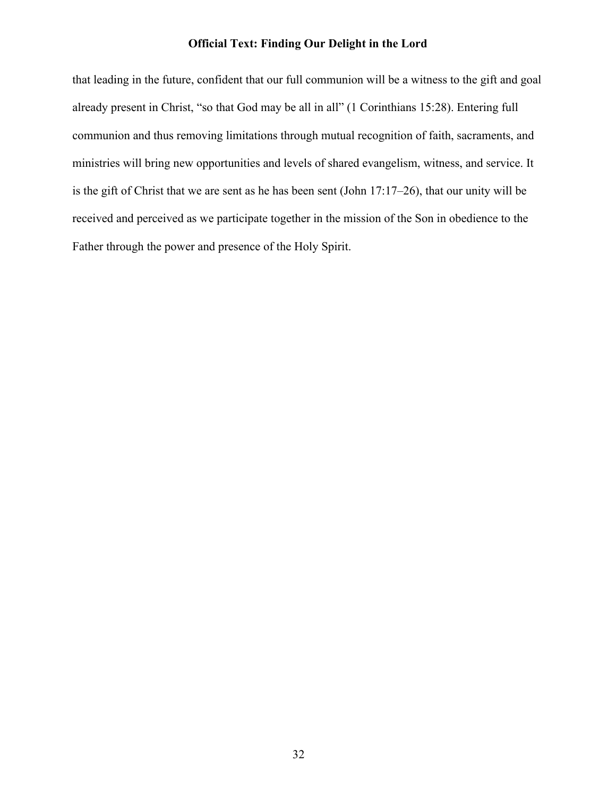that leading in the future, confident that our full communion will be a witness to the gift and goal already present in Christ, "so that God may be all in all" (1 Corinthians 15:28). Entering full communion and thus removing limitations through mutual recognition of faith, sacraments, and ministries will bring new opportunities and levels of shared evangelism, witness, and service. It is the gift of Christ that we are sent as he has been sent (John 17:17–26), that our unity will be received and perceived as we participate together in the mission of the Son in obedience to the Father through the power and presence of the Holy Spirit.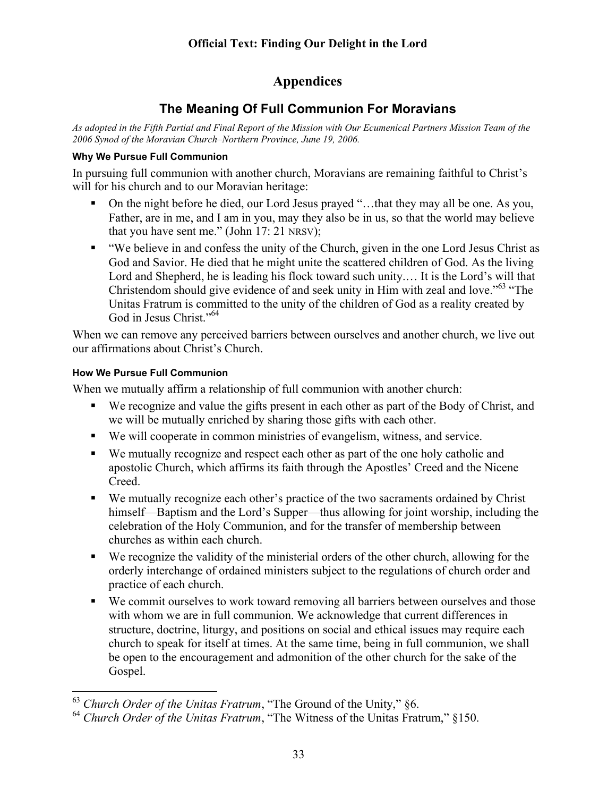# **Appendices**

# **The Meaning Of Full Communion For Moravians**

*As adopted in the Fifth Partial and Final Report of the Mission with Our Ecumenical Partners Mission Team of the 2006 Synod of the Moravian Church–Northern Province, June 19, 2006.*

## **Why We Pursue Full Communion**

In pursuing full communion with another church, Moravians are remaining faithful to Christ's will for his church and to our Moravian heritage:

- On the night before he died, our Lord Jesus prayed "...that they may all be one. As you, Father, are in me, and I am in you, may they also be in us, so that the world may believe that you have sent me." (John 17: 21 NRSV);
- "We believe in and confess the unity of the Church, given in the one Lord Jesus Christ as God and Savior. He died that he might unite the scattered children of God. As the living Lord and Shepherd, he is leading his flock toward such unity.… It is the Lord's will that Christendom should give evidence of and seek unity in Him with zeal and love."<sup>63</sup> "The Unitas Fratrum is committed to the unity of the children of God as a reality created by God in Jesus Christ<sup>"64</sup>

When we can remove any perceived barriers between ourselves and another church, we live out our affirmations about Christ's Church.

## **How We Pursue Full Communion**

When we mutually affirm a relationship of full communion with another church:

- We recognize and value the gifts present in each other as part of the Body of Christ, and we will be mutually enriched by sharing those gifts with each other.
- We will cooperate in common ministries of evangelism, witness, and service.
- We mutually recognize and respect each other as part of the one holy catholic and apostolic Church, which affirms its faith through the Apostles' Creed and the Nicene Creed.
- We mutually recognize each other's practice of the two sacraments ordained by Christ himself—Baptism and the Lord's Supper—thus allowing for joint worship, including the celebration of the Holy Communion, and for the transfer of membership between churches as within each church.
- We recognize the validity of the ministerial orders of the other church, allowing for the orderly interchange of ordained ministers subject to the regulations of church order and practice of each church.
- We commit ourselves to work toward removing all barriers between ourselves and those with whom we are in full communion. We acknowledge that current differences in structure, doctrine, liturgy, and positions on social and ethical issues may require each church to speak for itself at times. At the same time, being in full communion, we shall be open to the encouragement and admonition of the other church for the sake of the Gospel.

 <sup>63</sup> *Church Order of the Unitas Fratrum*, "The Ground of the Unity," §6.

<sup>&</sup>lt;sup>64</sup> Church Order of the Unitas Fratrum, "The Witness of the Unitas Fratrum," §150.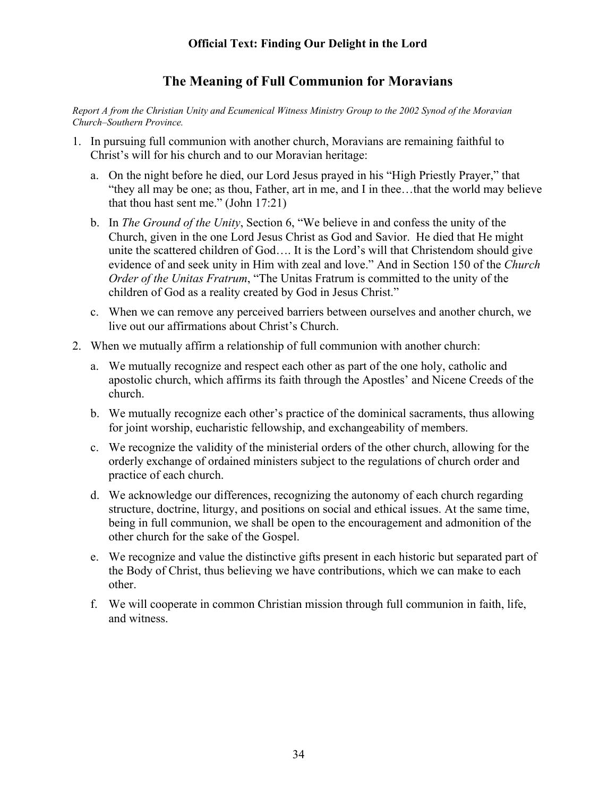# **The Meaning of Full Communion for Moravians**

*Report A from the Christian Unity and Ecumenical Witness Ministry Group to the 2002 Synod of the Moravian Church–Southern Province.*

- 1. In pursuing full communion with another church, Moravians are remaining faithful to Christ's will for his church and to our Moravian heritage:
	- a. On the night before he died, our Lord Jesus prayed in his "High Priestly Prayer," that "they all may be one; as thou, Father, art in me, and I in thee…that the world may believe that thou hast sent me." (John 17:21)
	- b. In *The Ground of the Unity*, Section 6, "We believe in and confess the unity of the Church, given in the one Lord Jesus Christ as God and Savior. He died that He might unite the scattered children of God…. It is the Lord's will that Christendom should give evidence of and seek unity in Him with zeal and love." And in Section 150 of the *Church Order of the Unitas Fratrum*, "The Unitas Fratrum is committed to the unity of the children of God as a reality created by God in Jesus Christ."
	- c. When we can remove any perceived barriers between ourselves and another church, we live out our affirmations about Christ's Church.
- 2. When we mutually affirm a relationship of full communion with another church:
	- a. We mutually recognize and respect each other as part of the one holy, catholic and apostolic church, which affirms its faith through the Apostles' and Nicene Creeds of the church.
	- b. We mutually recognize each other's practice of the dominical sacraments, thus allowing for joint worship, eucharistic fellowship, and exchangeability of members.
	- c. We recognize the validity of the ministerial orders of the other church, allowing for the orderly exchange of ordained ministers subject to the regulations of church order and practice of each church.
	- d. We acknowledge our differences, recognizing the autonomy of each church regarding structure, doctrine, liturgy, and positions on social and ethical issues. At the same time, being in full communion, we shall be open to the encouragement and admonition of the other church for the sake of the Gospel.
	- e. We recognize and value the distinctive gifts present in each historic but separated part of the Body of Christ, thus believing we have contributions, which we can make to each other.
	- f. We will cooperate in common Christian mission through full communion in faith, life, and witness.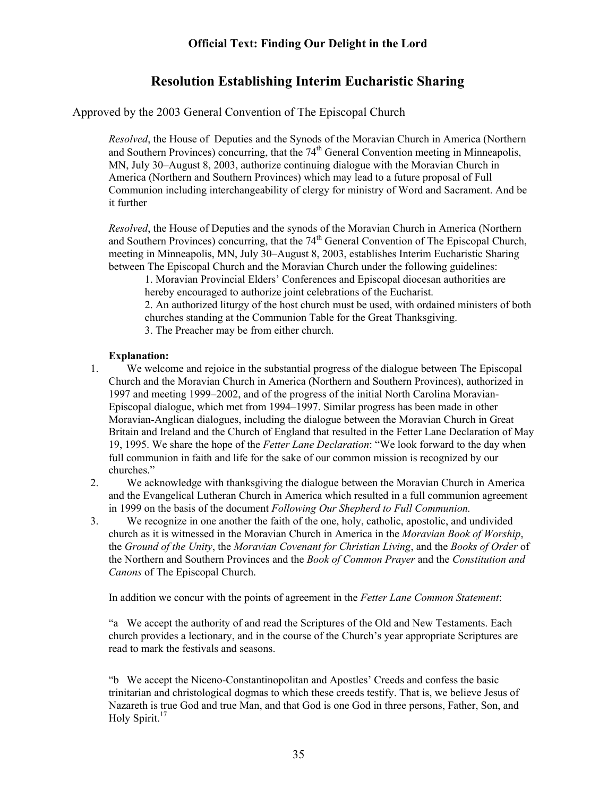## **Resolution Establishing Interim Eucharistic Sharing**

Approved by the 2003 General Convention of The Episcopal Church

*Resolved*, the House of Deputies and the Synods of the Moravian Church in America (Northern and Southern Provinces) concurring, that the  $74<sup>th</sup>$  General Convention meeting in Minneapolis, MN, July 30–August 8, 2003, authorize continuing dialogue with the Moravian Church in America (Northern and Southern Provinces) which may lead to a future proposal of Full Communion including interchangeability of clergy for ministry of Word and Sacrament. And be it further

*Resolved*, the House of Deputies and the synods of the Moravian Church in America (Northern and Southern Provinces) concurring, that the  $74<sup>th</sup>$  General Convention of The Episcopal Church, meeting in Minneapolis, MN, July 30–August 8, 2003, establishes Interim Eucharistic Sharing between The Episcopal Church and the Moravian Church under the following guidelines:

1. Moravian Provincial Elders' Conferences and Episcopal diocesan authorities are hereby encouraged to authorize joint celebrations of the Eucharist.

2. An authorized liturgy of the host church must be used, with ordained ministers of both churches standing at the Communion Table for the Great Thanksgiving. 3. The Preacher may be from either church.

#### **Explanation:**

1. We welcome and rejoice in the substantial progress of the dialogue between The Episcopal Church and the Moravian Church in America (Northern and Southern Provinces), authorized in 1997 and meeting 1999–2002, and of the progress of the initial North Carolina Moravian-Episcopal dialogue, which met from 1994–1997. Similar progress has been made in other Moravian-Anglican dialogues, including the dialogue between the Moravian Church in Great Britain and Ireland and the Church of England that resulted in the Fetter Lane Declaration of May 19, 1995. We share the hope of the *Fetter Lane Declaration*: "We look forward to the day when full communion in faith and life for the sake of our common mission is recognized by our churches."

2. We acknowledge with thanksgiving the dialogue between the Moravian Church in America and the Evangelical Lutheran Church in America which resulted in a full communion agreement in 1999 on the basis of the document *Following Our Shepherd to Full Communion.*

3. We recognize in one another the faith of the one, holy, catholic, apostolic, and undivided church as it is witnessed in the Moravian Church in America in the *Moravian Book of Worship*, the *Ground of the Unity*, the *Moravian Covenant for Christian Living*, and the *Books of Order* of the Northern and Southern Provinces and the *Book of Common Prayer* and the *Constitution and Canons* of The Episcopal Church.

In addition we concur with the points of agreement in the *Fetter Lane Common Statement*:

"a We accept the authority of and read the Scriptures of the Old and New Testaments. Each church provides a lectionary, and in the course of the Church's year appropriate Scriptures are read to mark the festivals and seasons.

"b We accept the Niceno-Constantinopolitan and Apostles' Creeds and confess the basic trinitarian and christological dogmas to which these creeds testify. That is, we believe Jesus of Nazareth is true God and true Man, and that God is one God in three persons, Father, Son, and Holy Spirit.<sup>17</sup>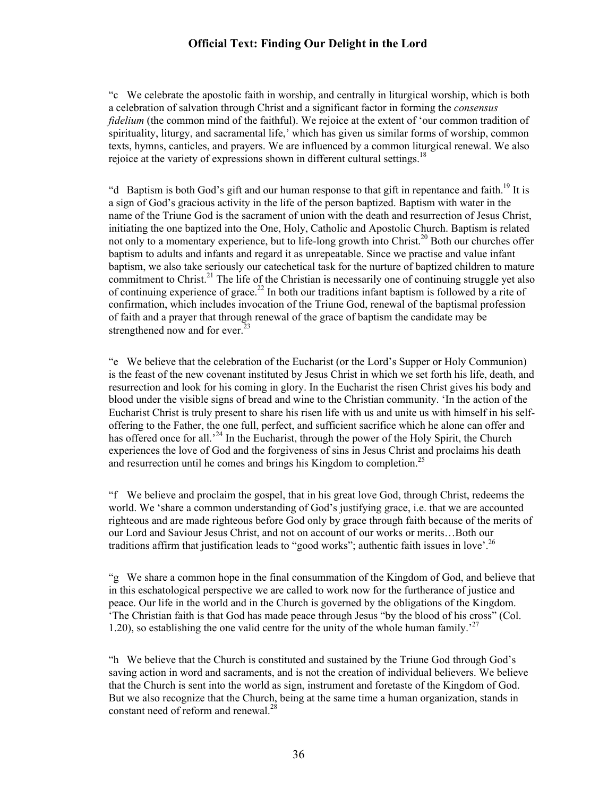"c We celebrate the apostolic faith in worship, and centrally in liturgical worship, which is both a celebration of salvation through Christ and a significant factor in forming the *consensus fidelium* (the common mind of the faithful). We rejoice at the extent of 'our common tradition of spirituality, liturgy, and sacramental life,' which has given us similar forms of worship, common texts, hymns, canticles, and prayers. We are influenced by a common liturgical renewal. We also rejoice at the variety of expressions shown in different cultural settings.<sup>18</sup>

"d Baptism is both God's gift and our human response to that gift in repentance and faith.<sup>19</sup> It is a sign of God's gracious activity in the life of the person baptized. Baptism with water in the name of the Triune God is the sacrament of union with the death and resurrection of Jesus Christ, initiating the one baptized into the One, Holy, Catholic and Apostolic Church. Baptism is related not only to a momentary experience, but to life-long growth into Christ.<sup>20</sup> Both our churches offer baptism to adults and infants and regard it as unrepeatable. Since we practise and value infant baptism, we also take seriously our catechetical task for the nurture of baptized children to mature commitment to Christ.<sup>21</sup> The life of the Christian is necessarily one of continuing struggle yet also of continuing experience of grace.<sup>22</sup> In both our traditions infant baptism is followed by a rite of confirmation, which includes invocation of the Triune God, renewal of the baptismal profession of faith and a prayer that through renewal of the grace of baptism the candidate may be strengthened now and for ever. $^{23}$ 

"e We believe that the celebration of the Eucharist (or the Lord's Supper or Holy Communion) is the feast of the new covenant instituted by Jesus Christ in which we set forth his life, death, and resurrection and look for his coming in glory. In the Eucharist the risen Christ gives his body and blood under the visible signs of bread and wine to the Christian community. 'In the action of the Eucharist Christ is truly present to share his risen life with us and unite us with himself in his selfoffering to the Father, the one full, perfect, and sufficient sacrifice which he alone can offer and has offered once for all.<sup>24</sup> In the Eucharist, through the power of the Holy Spirit, the Church experiences the love of God and the forgiveness of sins in Jesus Christ and proclaims his death and resurrection until he comes and brings his Kingdom to completion.<sup>25</sup>

"f We believe and proclaim the gospel, that in his great love God, through Christ, redeems the world. We 'share a common understanding of God's justifying grace, i.e. that we are accounted righteous and are made righteous before God only by grace through faith because of the merits of our Lord and Saviour Jesus Christ, and not on account of our works or merits…Both our traditions affirm that justification leads to "good works"; authentic faith issues in love'.<sup>26</sup>

"g We share a common hope in the final consummation of the Kingdom of God, and believe that in this eschatological perspective we are called to work now for the furtherance of justice and peace. Our life in the world and in the Church is governed by the obligations of the Kingdom. 'The Christian faith is that God has made peace through Jesus "by the blood of his cross" (Col. 1.20), so establishing the one valid centre for the unity of the whole human family.<sup>27</sup>

"h We believe that the Church is constituted and sustained by the Triune God through God's saving action in word and sacraments, and is not the creation of individual believers. We believe that the Church is sent into the world as sign, instrument and foretaste of the Kingdom of God. But we also recognize that the Church, being at the same time a human organization, stands in constant need of reform and renewal.<sup>28</sup>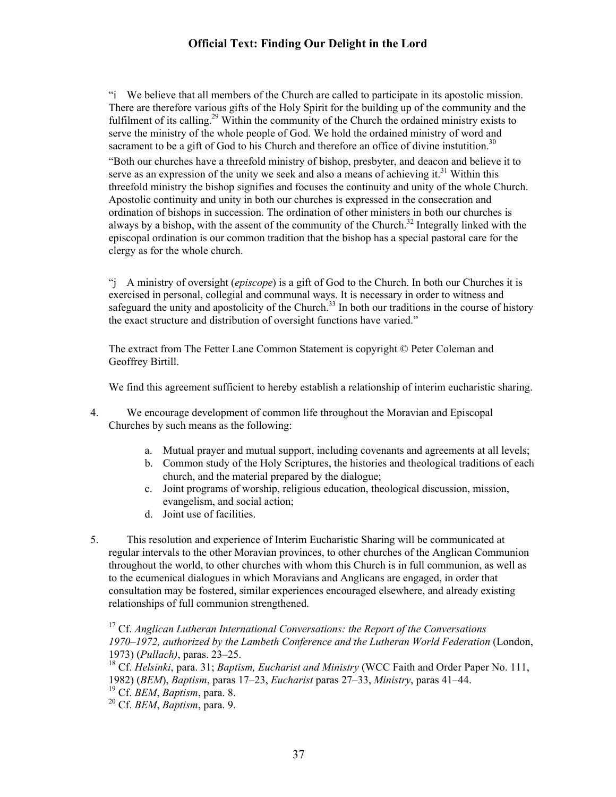"i We believe that all members of the Church are called to participate in its apostolic mission. There are therefore various gifts of the Holy Spirit for the building up of the community and the fulfilment of its calling.<sup>29</sup> Within the community of the Church the ordained ministry exists to serve the ministry of the whole people of God. We hold the ordained ministry of word and sacrament to be a gift of God to his Church and therefore an office of divine instutition.<sup>30</sup>

"Both our churches have a threefold ministry of bishop, presbyter, and deacon and believe it to serve as an expression of the unity we seek and also a means of achieving it.<sup>31</sup> Within this threefold ministry the bishop signifies and focuses the continuity and unity of the whole Church. Apostolic continuity and unity in both our churches is expressed in the consecration and ordination of bishops in succession. The ordination of other ministers in both our churches is always by a bishop, with the assent of the community of the Church.<sup>32</sup> Integrally linked with the episcopal ordination is our common tradition that the bishop has a special pastoral care for the clergy as for the whole church.

"j A ministry of oversight (*episcope*) is a gift of God to the Church. In both our Churches it is exercised in personal, collegial and communal ways. It is necessary in order to witness and safeguard the unity and apostolicity of the Church.<sup>33</sup> In both our traditions in the course of history the exact structure and distribution of oversight functions have varied."

The extract from The Fetter Lane Common Statement is copyright © Peter Coleman and Geoffrey Birtill.

We find this agreement sufficient to hereby establish a relationship of interim eucharistic sharing.

- 4. We encourage development of common life throughout the Moravian and Episcopal Churches by such means as the following:
	- a. Mutual prayer and mutual support, including covenants and agreements at all levels;
	- b. Common study of the Holy Scriptures, the histories and theological traditions of each church, and the material prepared by the dialogue;
	- c. Joint programs of worship, religious education, theological discussion, mission, evangelism, and social action;
	- d. Joint use of facilities.
- 5. This resolution and experience of Interim Eucharistic Sharing will be communicated at regular intervals to the other Moravian provinces, to other churches of the Anglican Communion throughout the world, to other churches with whom this Church is in full communion, as well as to the ecumenical dialogues in which Moravians and Anglicans are engaged, in order that consultation may be fostered, similar experiences encouraged elsewhere, and already existing relationships of full communion strengthened.

## 17 Cf. *Anglican Lutheran International Conversations: the Report of the Conversations 1970–1972, authorized by the Lambeth Conference and the Lutheran World Federation* (London, 1973) (*Pullach)*, paras. 23–25.

18 Cf. *Helsinki*, para. 31; *Baptism, Eucharist and Ministry* (WCC Faith and Order Paper No. 111, 1982) (*BEM*), *Baptism*, paras 17–23, *Eucharist* paras 27–33, *Ministry*, paras 41–44. 19 Cf. *BEM*, *Baptism*, para. 8.

20 Cf. *BEM*, *Baptism*, para. 9.